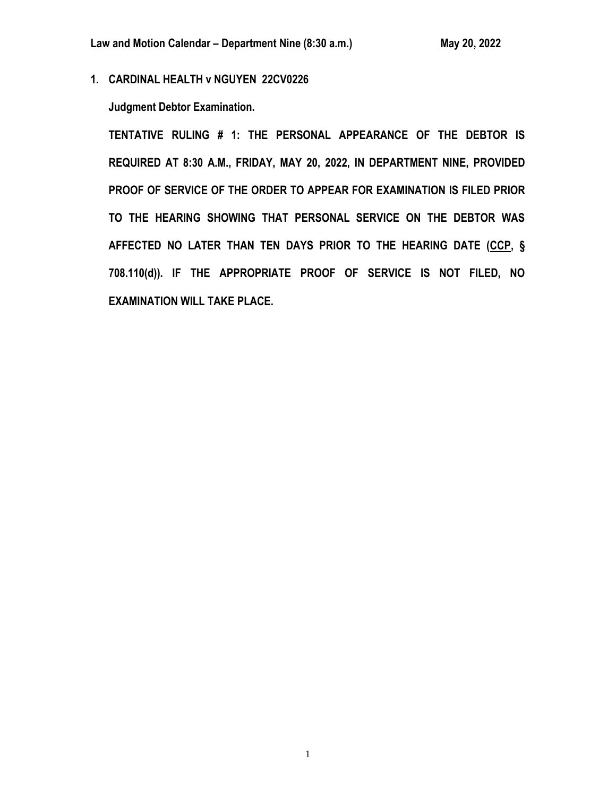**1. CARDINAL HEALTH v NGUYEN 22CV0226**

**Judgment Debtor Examination.**

**TENTATIVE RULING # 1: THE PERSONAL APPEARANCE OF THE DEBTOR IS REQUIRED AT 8:30 A.M., FRIDAY, MAY 20, 2022, IN DEPARTMENT NINE, PROVIDED PROOF OF SERVICE OF THE ORDER TO APPEAR FOR EXAMINATION IS FILED PRIOR TO THE HEARING SHOWING THAT PERSONAL SERVICE ON THE DEBTOR WAS AFFECTED NO LATER THAN TEN DAYS PRIOR TO THE HEARING DATE (CCP, § 708.110(d)). IF THE APPROPRIATE PROOF OF SERVICE IS NOT FILED, NO EXAMINATION WILL TAKE PLACE.**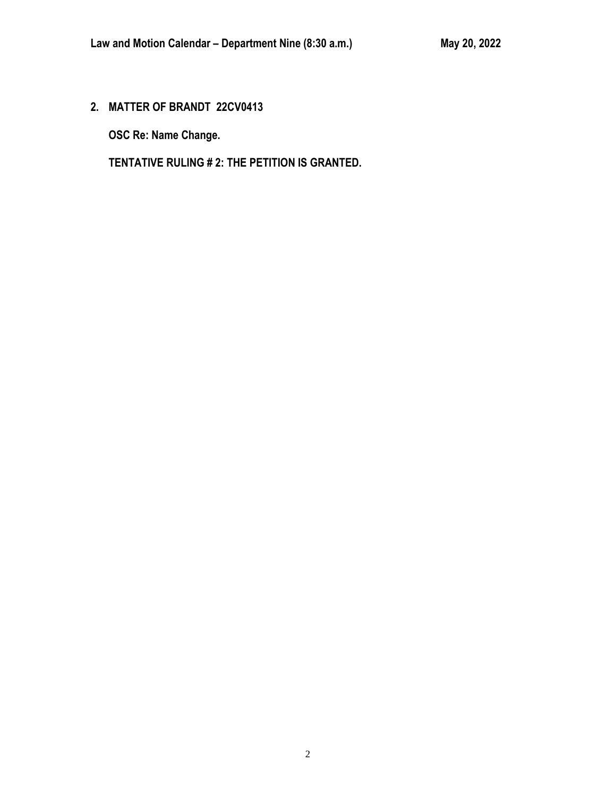**2. MATTER OF BRANDT 22CV0413**

**OSC Re: Name Change.**

**TENTATIVE RULING # 2: THE PETITION IS GRANTED.**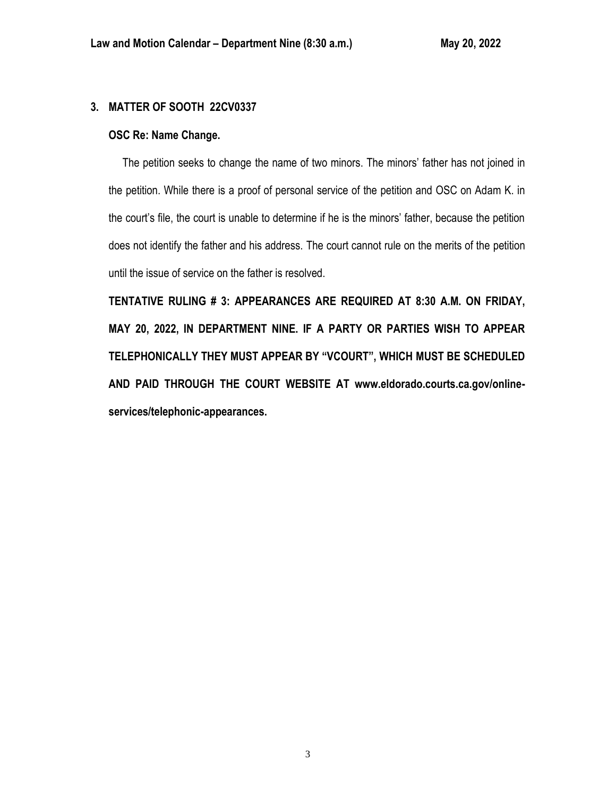# **3. MATTER OF SOOTH 22CV0337**

# **OSC Re: Name Change.**

 The petition seeks to change the name of two minors. The minors' father has not joined in the petition. While there is a proof of personal service of the petition and OSC on Adam K. in the court's file, the court is unable to determine if he is the minors' father, because the petition does not identify the father and his address. The court cannot rule on the merits of the petition until the issue of service on the father is resolved.

**TENTATIVE RULING # 3: APPEARANCES ARE REQUIRED AT 8:30 A.M. ON FRIDAY, MAY 20, 2022, IN DEPARTMENT NINE. IF A PARTY OR PARTIES WISH TO APPEAR TELEPHONICALLY THEY MUST APPEAR BY "VCOURT", WHICH MUST BE SCHEDULED AND PAID THROUGH THE COURT WEBSITE AT www.eldorado.courts.ca.gov/onlineservices/telephonic-appearances.**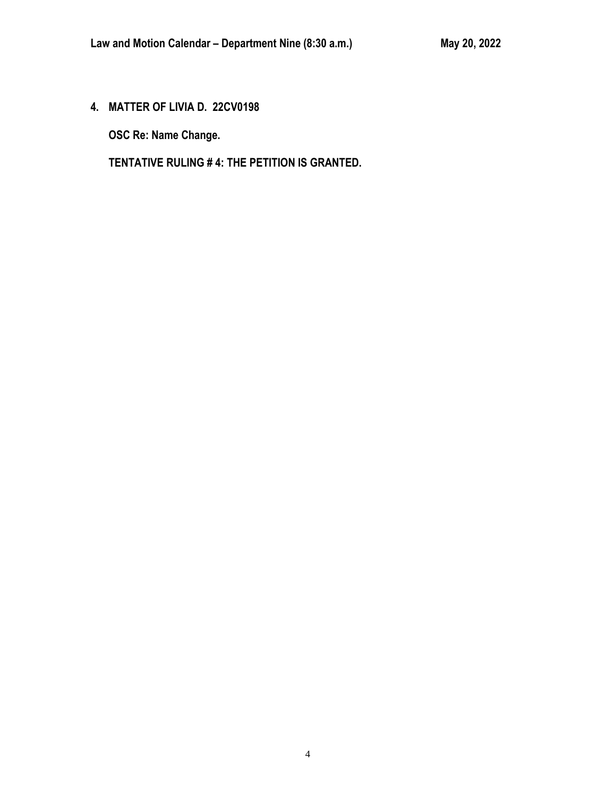**4. MATTER OF LIVIA D. 22CV0198**

**OSC Re: Name Change.**

**TENTATIVE RULING # 4: THE PETITION IS GRANTED.**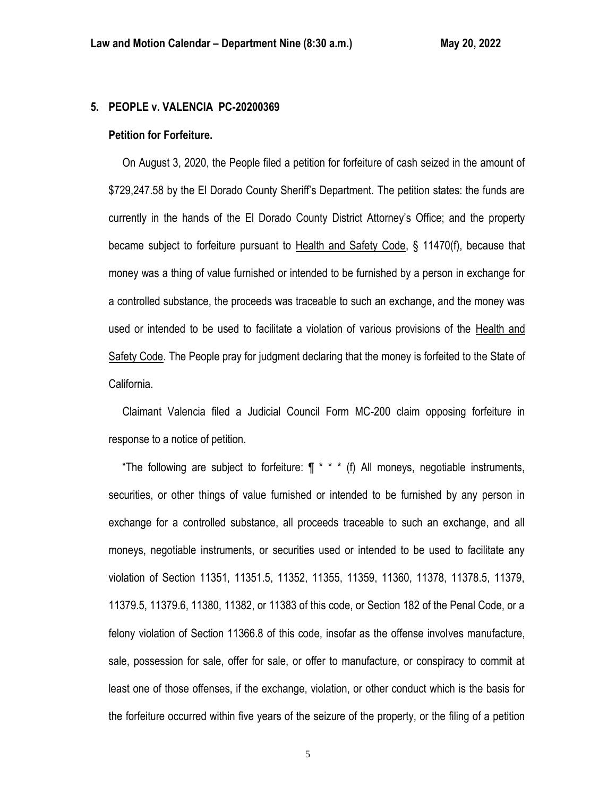## **5. PEOPLE v. VALENCIA PC-20200369**

#### **Petition for Forfeiture.**

 On August 3, 2020, the People filed a petition for forfeiture of cash seized in the amount of \$729,247.58 by the El Dorado County Sheriff's Department. The petition states: the funds are currently in the hands of the El Dorado County District Attorney's Office; and the property became subject to forfeiture pursuant to Health and Safety Code, § 11470(f), because that money was a thing of value furnished or intended to be furnished by a person in exchange for a controlled substance, the proceeds was traceable to such an exchange, and the money was used or intended to be used to facilitate a violation of various provisions of the Health and Safety Code. The People pray for judgment declaring that the money is forfeited to the State of California.

 Claimant Valencia filed a Judicial Council Form MC-200 claim opposing forfeiture in response to a notice of petition.

"The following are subject to forfeiture:  $\P$  \* \* \* (f) All moneys, negotiable instruments, securities, or other things of value furnished or intended to be furnished by any person in exchange for a controlled substance, all proceeds traceable to such an exchange, and all moneys, negotiable instruments, or securities used or intended to be used to facilitate any violation of Section 11351, 11351.5, 11352, 11355, 11359, 11360, 11378, 11378.5, 11379, 11379.5, 11379.6, 11380, 11382, or 11383 of this code, or Section 182 of the Penal Code, or a felony violation of Section 11366.8 of this code, insofar as the offense involves manufacture, sale, possession for sale, offer for sale, or offer to manufacture, or conspiracy to commit at least one of those offenses, if the exchange, violation, or other conduct which is the basis for the forfeiture occurred within five years of the seizure of the property, or the filing of a petition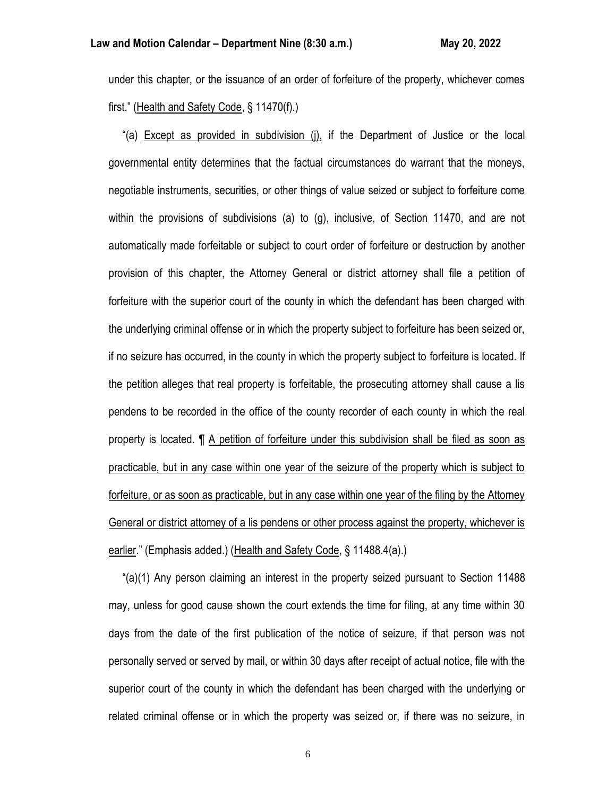under this chapter, or the issuance of an order of forfeiture of the property, whichever comes first." (Health and Safety Code, § 11470(f).)

 "(a) Except as provided in subdivision (j), if the Department of Justice or the local governmental entity determines that the factual circumstances do warrant that the moneys, negotiable instruments, securities, or other things of value seized or subject to forfeiture come within the provisions of subdivisions (a) to (g), inclusive, of Section 11470, and are not automatically made forfeitable or subject to court order of forfeiture or destruction by another provision of this chapter, the Attorney General or district attorney shall file a petition of forfeiture with the superior court of the county in which the defendant has been charged with the underlying criminal offense or in which the property subject to forfeiture has been seized or, if no seizure has occurred, in the county in which the property subject to forfeiture is located. If the petition alleges that real property is forfeitable, the prosecuting attorney shall cause a lis pendens to be recorded in the office of the county recorder of each county in which the real property is located. ¶ A petition of forfeiture under this subdivision shall be filed as soon as practicable, but in any case within one year of the seizure of the property which is subject to forfeiture, or as soon as practicable, but in any case within one year of the filing by the Attorney General or district attorney of a lis pendens or other process against the property, whichever is earlier." (Emphasis added.) (Health and Safety Code, § 11488.4(a).)

 "(a)(1) Any person claiming an interest in the property seized pursuant to Section 11488 may, unless for good cause shown the court extends the time for filing, at any time within 30 days from the date of the first publication of the notice of seizure, if that person was not personally served or served by mail, or within 30 days after receipt of actual notice, file with the superior court of the county in which the defendant has been charged with the underlying or related criminal offense or in which the property was seized or, if there was no seizure, in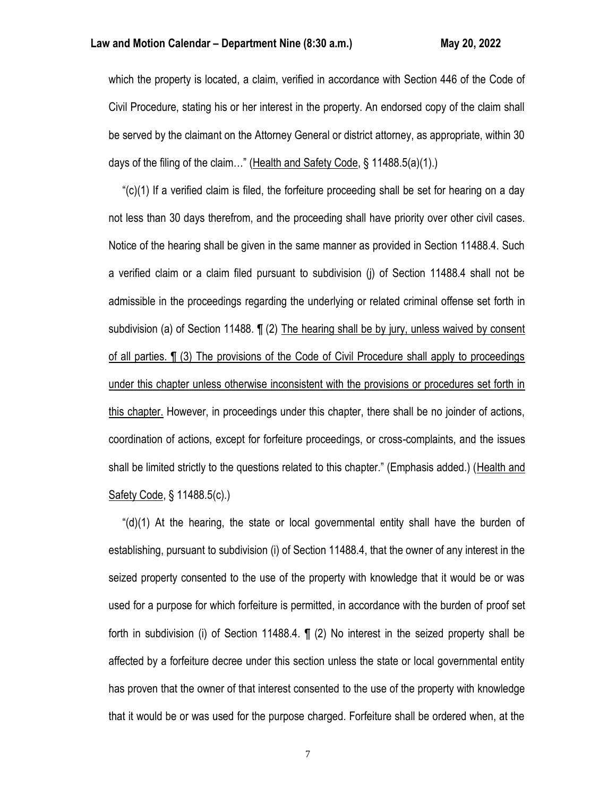which the property is located, a claim, verified in accordance with Section 446 of the Code of Civil Procedure, stating his or her interest in the property. An endorsed copy of the claim shall be served by the claimant on the Attorney General or district attorney, as appropriate, within 30 days of the filing of the claim..." (Health and Safety Code, § 11488.5(a)(1).)

 "(c)(1) If a verified claim is filed, the forfeiture proceeding shall be set for hearing on a day not less than 30 days therefrom, and the proceeding shall have priority over other civil cases. Notice of the hearing shall be given in the same manner as provided in Section 11488.4. Such a verified claim or a claim filed pursuant to subdivision (j) of Section 11488.4 shall not be admissible in the proceedings regarding the underlying or related criminal offense set forth in subdivision (a) of Section 11488. ¶ (2) The hearing shall be by jury, unless waived by consent of all parties. ¶ (3) The provisions of the Code of Civil Procedure shall apply to proceedings under this chapter unless otherwise inconsistent with the provisions or procedures set forth in this chapter. However, in proceedings under this chapter, there shall be no joinder of actions, coordination of actions, except for forfeiture proceedings, or cross-complaints, and the issues shall be limited strictly to the questions related to this chapter." (Emphasis added.) (Health and Safety Code, § 11488.5(c).)

" $(d)(1)$  At the hearing, the state or local governmental entity shall have the burden of establishing, pursuant to subdivision (i) of Section 11488.4, that the owner of any interest in the seized property consented to the use of the property with knowledge that it would be or was used for a purpose for which forfeiture is permitted, in accordance with the burden of proof set forth in subdivision (i) of Section 11488.4. ¶ (2) No interest in the seized property shall be affected by a forfeiture decree under this section unless the state or local governmental entity has proven that the owner of that interest consented to the use of the property with knowledge that it would be or was used for the purpose charged. Forfeiture shall be ordered when, at the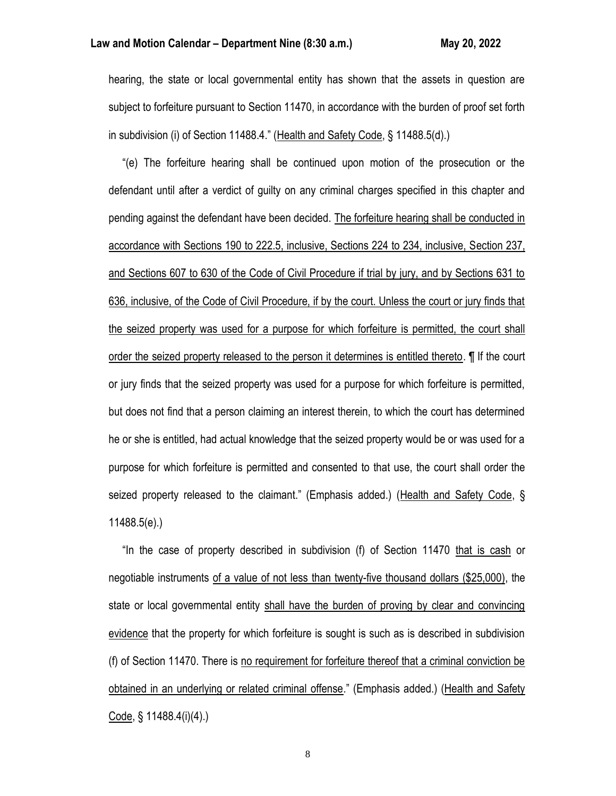hearing, the state or local governmental entity has shown that the assets in question are subject to forfeiture pursuant to Section 11470, in accordance with the burden of proof set forth in subdivision (i) of Section 11488.4." (Health and Safety Code, § 11488.5(d).)

 "(e) The forfeiture hearing shall be continued upon motion of the prosecution or the defendant until after a verdict of guilty on any criminal charges specified in this chapter and pending against the defendant have been decided. The forfeiture hearing shall be conducted in accordance with Sections 190 to 222.5, inclusive, Sections 224 to 234, inclusive, Section 237, and Sections 607 to 630 of the Code of Civil Procedure if trial by jury, and by Sections 631 to 636, inclusive, of the Code of Civil Procedure, if by the court. Unless the court or jury finds that the seized property was used for a purpose for which forfeiture is permitted, the court shall order the seized property released to the person it determines is entitled thereto. ¶ If the court or jury finds that the seized property was used for a purpose for which forfeiture is permitted, but does not find that a person claiming an interest therein, to which the court has determined he or she is entitled, had actual knowledge that the seized property would be or was used for a purpose for which forfeiture is permitted and consented to that use, the court shall order the seized property released to the claimant." (Emphasis added.) (Health and Safety Code, § 11488.5(e).)

 "In the case of property described in subdivision (f) of Section 11470 that is cash or negotiable instruments of a value of not less than twenty-five thousand dollars (\$25,000), the state or local governmental entity shall have the burden of proving by clear and convincing evidence that the property for which forfeiture is sought is such as is described in subdivision (f) of Section 11470. There is no requirement for forfeiture thereof that a criminal conviction be obtained in an underlying or related criminal offense." (Emphasis added.) (Health and Safety Code, § 11488.4(i)(4).)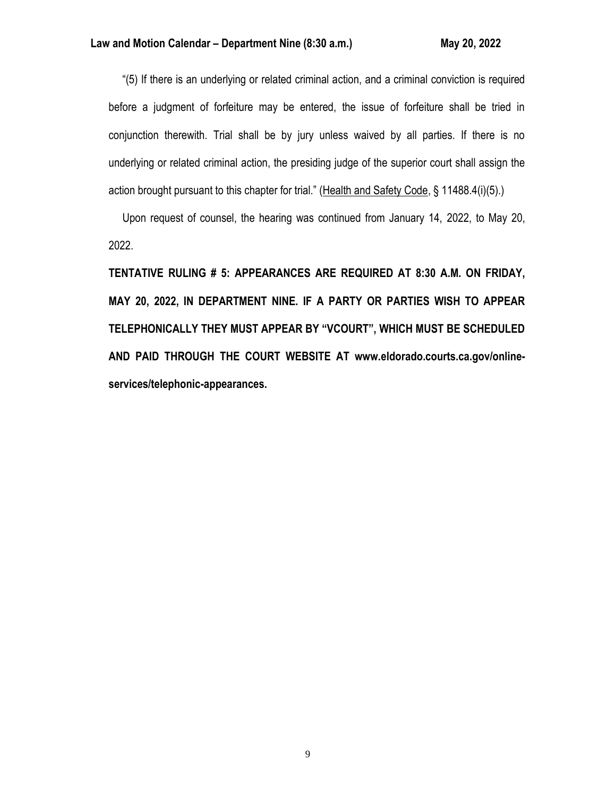"(5) If there is an underlying or related criminal action, and a criminal conviction is required before a judgment of forfeiture may be entered, the issue of forfeiture shall be tried in conjunction therewith. Trial shall be by jury unless waived by all parties. If there is no underlying or related criminal action, the presiding judge of the superior court shall assign the action brought pursuant to this chapter for trial." (Health and Safety Code, § 11488.4(i)(5).)

 Upon request of counsel, the hearing was continued from January 14, 2022, to May 20, 2022.

**TENTATIVE RULING # 5: APPEARANCES ARE REQUIRED AT 8:30 A.M. ON FRIDAY, MAY 20, 2022, IN DEPARTMENT NINE. IF A PARTY OR PARTIES WISH TO APPEAR TELEPHONICALLY THEY MUST APPEAR BY "VCOURT", WHICH MUST BE SCHEDULED AND PAID THROUGH THE COURT WEBSITE AT www.eldorado.courts.ca.gov/onlineservices/telephonic-appearances.**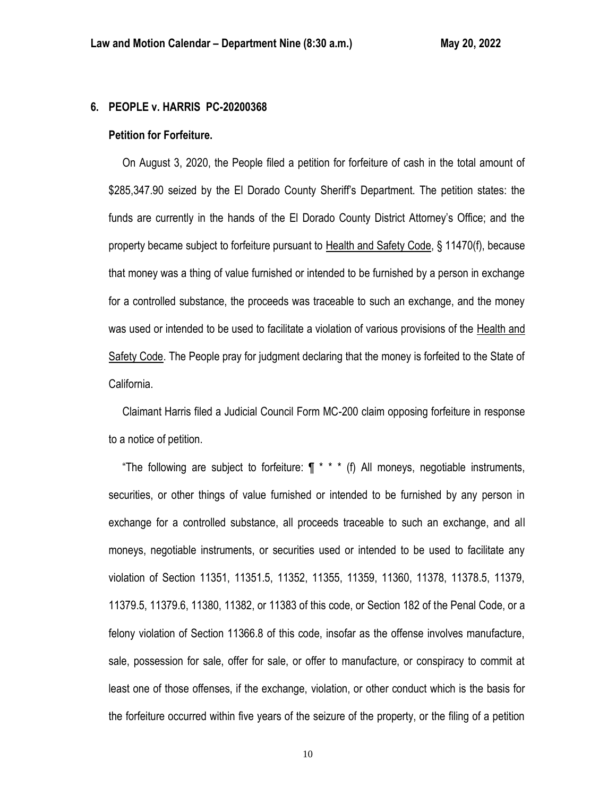### **6. PEOPLE v. HARRIS PC-20200368**

#### **Petition for Forfeiture.**

 On August 3, 2020, the People filed a petition for forfeiture of cash in the total amount of \$285,347.90 seized by the El Dorado County Sheriff's Department. The petition states: the funds are currently in the hands of the El Dorado County District Attorney's Office; and the property became subject to forfeiture pursuant to Health and Safety Code, § 11470(f), because that money was a thing of value furnished or intended to be furnished by a person in exchange for a controlled substance, the proceeds was traceable to such an exchange, and the money was used or intended to be used to facilitate a violation of various provisions of the Health and Safety Code. The People pray for judgment declaring that the money is forfeited to the State of California.

 Claimant Harris filed a Judicial Council Form MC-200 claim opposing forfeiture in response to a notice of petition.

"The following are subject to forfeiture:  $\P$  \* \* \* (f) All moneys, negotiable instruments, securities, or other things of value furnished or intended to be furnished by any person in exchange for a controlled substance, all proceeds traceable to such an exchange, and all moneys, negotiable instruments, or securities used or intended to be used to facilitate any violation of Section 11351, 11351.5, 11352, 11355, 11359, 11360, 11378, 11378.5, 11379, 11379.5, 11379.6, 11380, 11382, or 11383 of this code, or Section 182 of the Penal Code, or a felony violation of Section 11366.8 of this code, insofar as the offense involves manufacture, sale, possession for sale, offer for sale, or offer to manufacture, or conspiracy to commit at least one of those offenses, if the exchange, violation, or other conduct which is the basis for the forfeiture occurred within five years of the seizure of the property, or the filing of a petition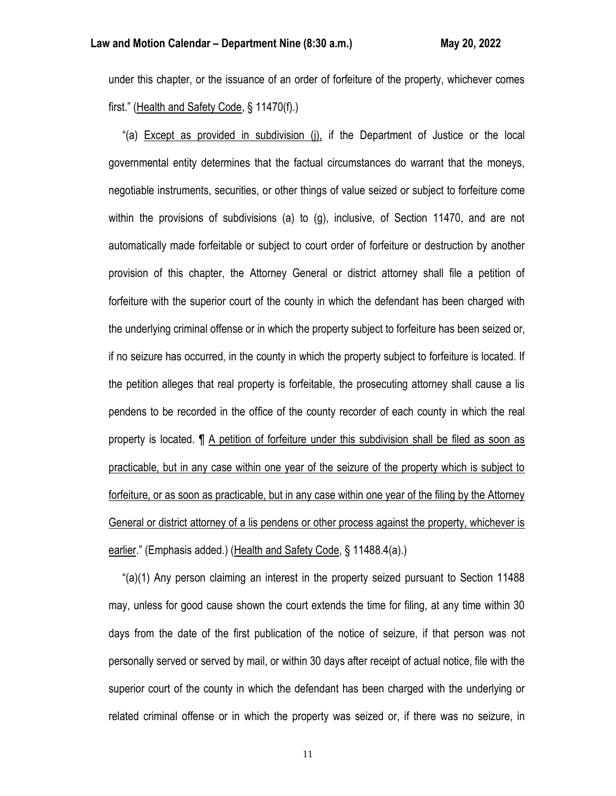under this chapter, or the issuance of an order of forfeiture of the property, whichever comes first." (Health and Safety Code, § 11470(f).)

 "(a) Except as provided in subdivision (j), if the Department of Justice or the local governmental entity determines that the factual circumstances do warrant that the moneys, negotiable instruments, securities, or other things of value seized or subject to forfeiture come within the provisions of subdivisions (a) to (g), inclusive, of Section 11470, and are not automatically made forfeitable or subject to court order of forfeiture or destruction by another provision of this chapter, the Attorney General or district attorney shall file a petition of forfeiture with the superior court of the county in which the defendant has been charged with the underlying criminal offense or in which the property subject to forfeiture has been seized or, if no seizure has occurred, in the county in which the property subject to forfeiture is located. If the petition alleges that real property is forfeitable, the prosecuting attorney shall cause a lis pendens to be recorded in the office of the county recorder of each county in which the real property is located. ¶ A petition of forfeiture under this subdivision shall be filed as soon as practicable, but in any case within one year of the seizure of the property which is subject to forfeiture, or as soon as practicable, but in any case within one year of the filing by the Attorney General or district attorney of a lis pendens or other process against the property, whichever is earlier." (Emphasis added.) (Health and Safety Code, § 11488.4(a).)

 "(a)(1) Any person claiming an interest in the property seized pursuant to Section 11488 may, unless for good cause shown the court extends the time for filing, at any time within 30 days from the date of the first publication of the notice of seizure, if that person was not personally served or served by mail, or within 30 days after receipt of actual notice, file with the superior court of the county in which the defendant has been charged with the underlying or related criminal offense or in which the property was seized or, if there was no seizure, in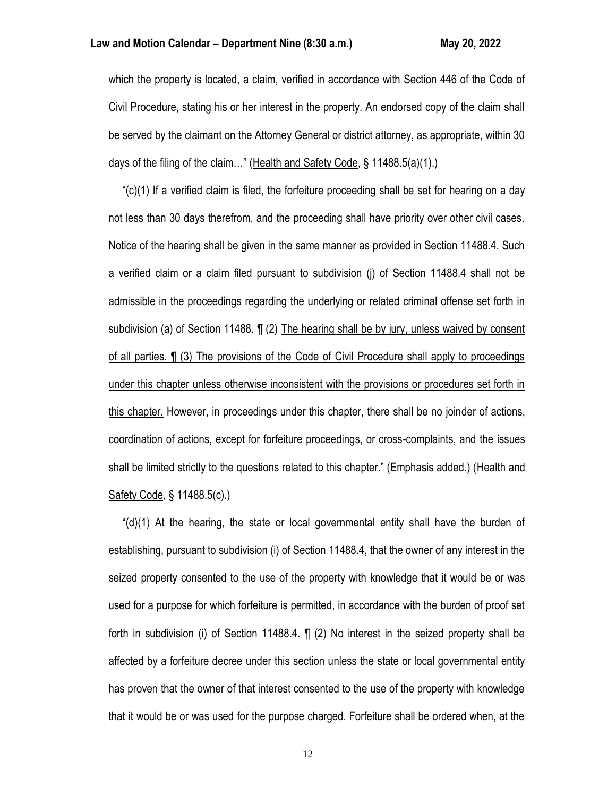which the property is located, a claim, verified in accordance with Section 446 of the Code of Civil Procedure, stating his or her interest in the property. An endorsed copy of the claim shall be served by the claimant on the Attorney General or district attorney, as appropriate, within 30 days of the filing of the claim..." (Health and Safety Code, § 11488.5(a)(1).)

 "(c)(1) If a verified claim is filed, the forfeiture proceeding shall be set for hearing on a day not less than 30 days therefrom, and the proceeding shall have priority over other civil cases. Notice of the hearing shall be given in the same manner as provided in Section 11488.4. Such a verified claim or a claim filed pursuant to subdivision (j) of Section 11488.4 shall not be admissible in the proceedings regarding the underlying or related criminal offense set forth in subdivision (a) of Section 11488. ¶ (2) The hearing shall be by jury, unless waived by consent of all parties. ¶ (3) The provisions of the Code of Civil Procedure shall apply to proceedings under this chapter unless otherwise inconsistent with the provisions or procedures set forth in this chapter. However, in proceedings under this chapter, there shall be no joinder of actions, coordination of actions, except for forfeiture proceedings, or cross-complaints, and the issues shall be limited strictly to the questions related to this chapter." (Emphasis added.) (Health and Safety Code, § 11488.5(c).)

" $(d)(1)$  At the hearing, the state or local governmental entity shall have the burden of establishing, pursuant to subdivision (i) of Section 11488.4, that the owner of any interest in the seized property consented to the use of the property with knowledge that it would be or was used for a purpose for which forfeiture is permitted, in accordance with the burden of proof set forth in subdivision (i) of Section 11488.4. ¶ (2) No interest in the seized property shall be affected by a forfeiture decree under this section unless the state or local governmental entity has proven that the owner of that interest consented to the use of the property with knowledge that it would be or was used for the purpose charged. Forfeiture shall be ordered when, at the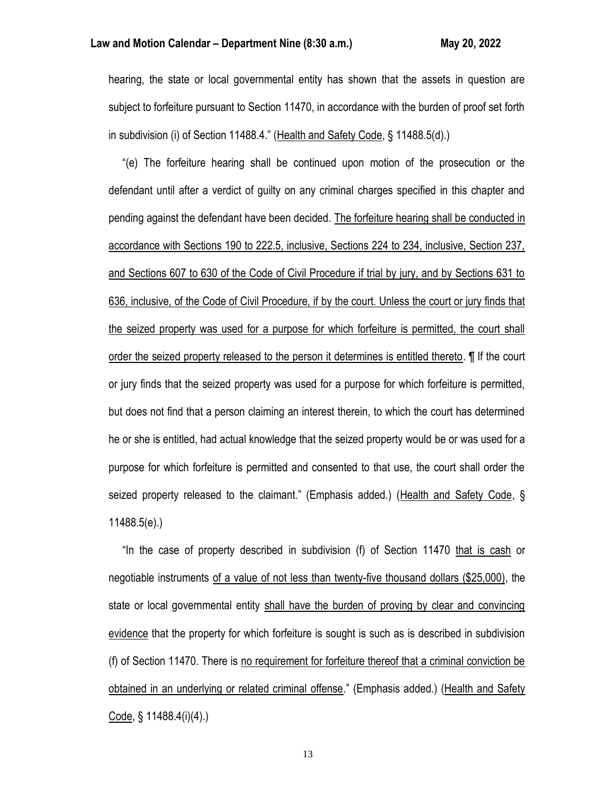hearing, the state or local governmental entity has shown that the assets in question are subject to forfeiture pursuant to Section 11470, in accordance with the burden of proof set forth in subdivision (i) of Section 11488.4." (Health and Safety Code, § 11488.5(d).)

 "(e) The forfeiture hearing shall be continued upon motion of the prosecution or the defendant until after a verdict of guilty on any criminal charges specified in this chapter and pending against the defendant have been decided. The forfeiture hearing shall be conducted in accordance with Sections 190 to 222.5, inclusive, Sections 224 to 234, inclusive, Section 237, and Sections 607 to 630 of the Code of Civil Procedure if trial by jury, and by Sections 631 to 636, inclusive, of the Code of Civil Procedure, if by the court. Unless the court or jury finds that the seized property was used for a purpose for which forfeiture is permitted, the court shall order the seized property released to the person it determines is entitled thereto. ¶ If the court or jury finds that the seized property was used for a purpose for which forfeiture is permitted, but does not find that a person claiming an interest therein, to which the court has determined he or she is entitled, had actual knowledge that the seized property would be or was used for a purpose for which forfeiture is permitted and consented to that use, the court shall order the seized property released to the claimant." (Emphasis added.) (Health and Safety Code, § 11488.5(e).)

 "In the case of property described in subdivision (f) of Section 11470 that is cash or negotiable instruments of a value of not less than twenty-five thousand dollars (\$25,000), the state or local governmental entity shall have the burden of proving by clear and convincing evidence that the property for which forfeiture is sought is such as is described in subdivision (f) of Section 11470. There is no requirement for forfeiture thereof that a criminal conviction be obtained in an underlying or related criminal offense." (Emphasis added.) (Health and Safety Code, § 11488.4(i)(4).)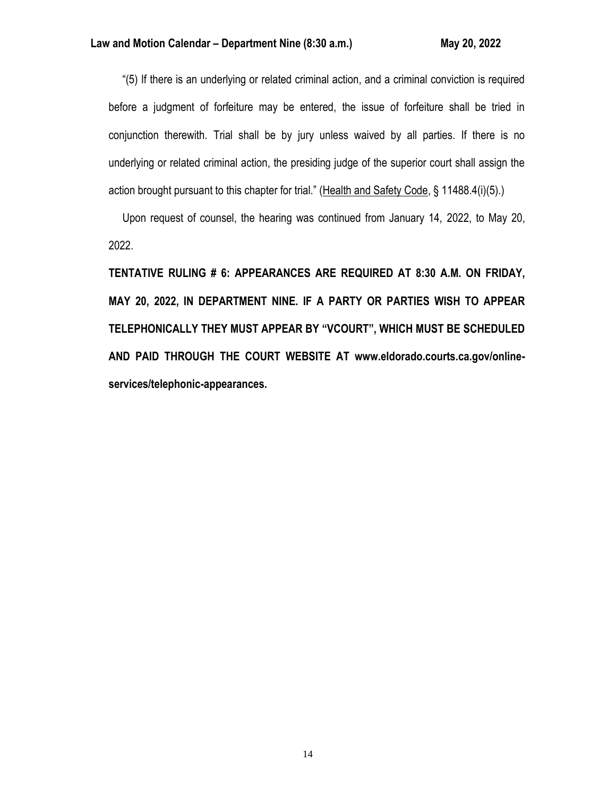"(5) If there is an underlying or related criminal action, and a criminal conviction is required before a judgment of forfeiture may be entered, the issue of forfeiture shall be tried in conjunction therewith. Trial shall be by jury unless waived by all parties. If there is no underlying or related criminal action, the presiding judge of the superior court shall assign the action brought pursuant to this chapter for trial." (Health and Safety Code, § 11488.4(i)(5).)

 Upon request of counsel, the hearing was continued from January 14, 2022, to May 20, 2022.

**TENTATIVE RULING # 6: APPEARANCES ARE REQUIRED AT 8:30 A.M. ON FRIDAY, MAY 20, 2022, IN DEPARTMENT NINE. IF A PARTY OR PARTIES WISH TO APPEAR TELEPHONICALLY THEY MUST APPEAR BY "VCOURT", WHICH MUST BE SCHEDULED AND PAID THROUGH THE COURT WEBSITE AT www.eldorado.courts.ca.gov/onlineservices/telephonic-appearances.**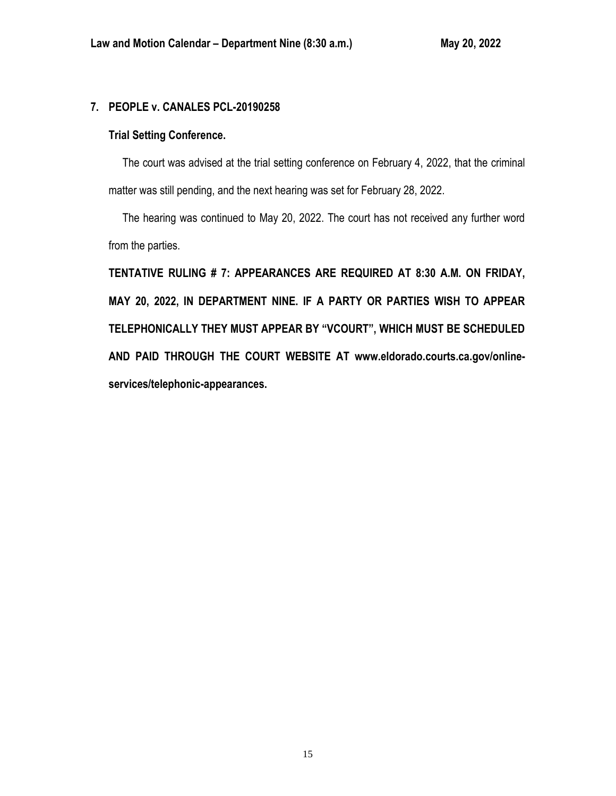# **7. PEOPLE v. CANALES PCL-20190258**

# **Trial Setting Conference.**

 The court was advised at the trial setting conference on February 4, 2022, that the criminal matter was still pending, and the next hearing was set for February 28, 2022.

 The hearing was continued to May 20, 2022. The court has not received any further word from the parties.

**TENTATIVE RULING # 7: APPEARANCES ARE REQUIRED AT 8:30 A.M. ON FRIDAY, MAY 20, 2022, IN DEPARTMENT NINE. IF A PARTY OR PARTIES WISH TO APPEAR TELEPHONICALLY THEY MUST APPEAR BY "VCOURT", WHICH MUST BE SCHEDULED AND PAID THROUGH THE COURT WEBSITE AT www.eldorado.courts.ca.gov/onlineservices/telephonic-appearances.**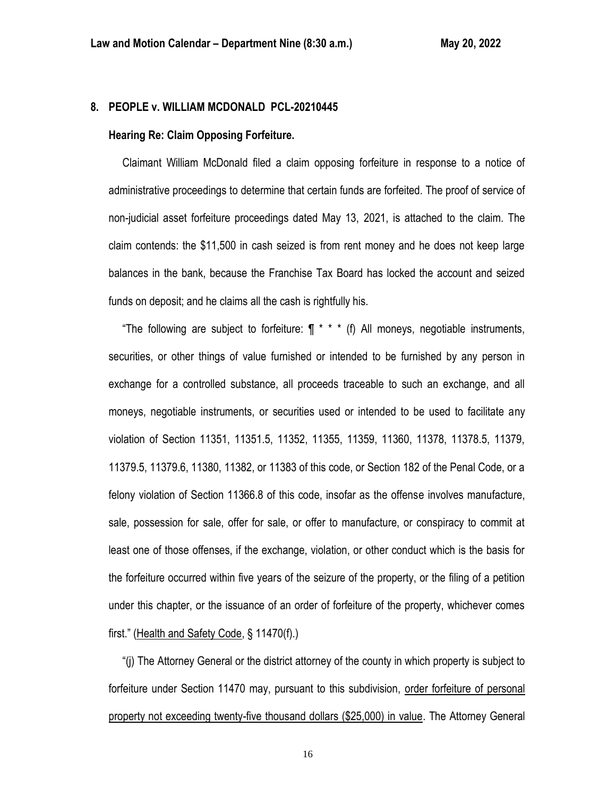# **8. PEOPLE v. WILLIAM MCDONALD PCL-20210445**

### **Hearing Re: Claim Opposing Forfeiture.**

 Claimant William McDonald filed a claim opposing forfeiture in response to a notice of administrative proceedings to determine that certain funds are forfeited. The proof of service of non-judicial asset forfeiture proceedings dated May 13, 2021, is attached to the claim. The claim contends: the \$11,500 in cash seized is from rent money and he does not keep large balances in the bank, because the Franchise Tax Board has locked the account and seized funds on deposit; and he claims all the cash is rightfully his.

"The following are subject to forfeiture:  $\int \pi^*$  \* (f) All moneys, negotiable instruments, securities, or other things of value furnished or intended to be furnished by any person in exchange for a controlled substance, all proceeds traceable to such an exchange, and all moneys, negotiable instruments, or securities used or intended to be used to facilitate any violation of Section 11351, 11351.5, 11352, 11355, 11359, 11360, 11378, 11378.5, 11379, 11379.5, 11379.6, 11380, 11382, or 11383 of this code, or Section 182 of the Penal Code, or a felony violation of Section 11366.8 of this code, insofar as the offense involves manufacture, sale, possession for sale, offer for sale, or offer to manufacture, or conspiracy to commit at least one of those offenses, if the exchange, violation, or other conduct which is the basis for the forfeiture occurred within five years of the seizure of the property, or the filing of a petition under this chapter, or the issuance of an order of forfeiture of the property, whichever comes first." (Health and Safety Code, § 11470(f).)

 "(j) The Attorney General or the district attorney of the county in which property is subject to forfeiture under Section 11470 may, pursuant to this subdivision, order forfeiture of personal property not exceeding twenty-five thousand dollars (\$25,000) in value. The Attorney General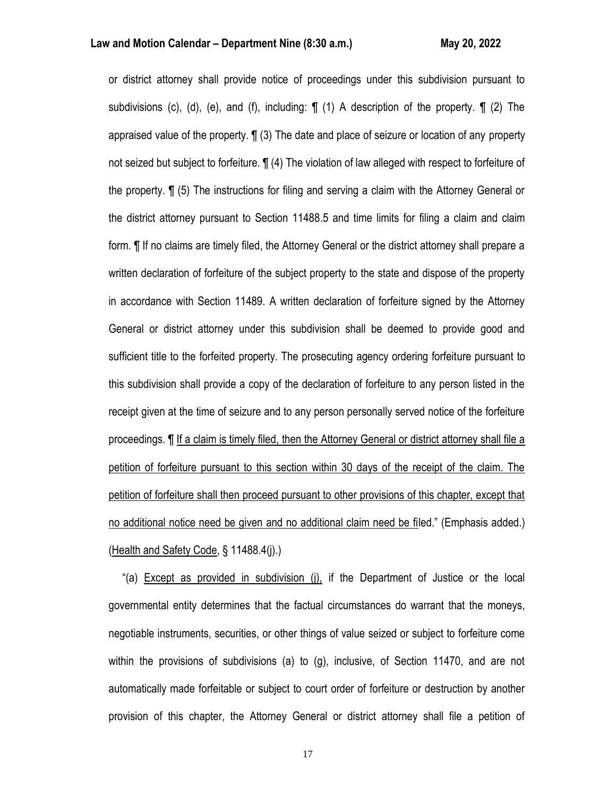or district attorney shall provide notice of proceedings under this subdivision pursuant to subdivisions (c), (d), (e), and (f), including:  $\P$  (1) A description of the property.  $\P$  (2) The appraised value of the property. ¶ (3) The date and place of seizure or location of any property not seized but subject to forfeiture. ¶ (4) The violation of law alleged with respect to forfeiture of the property. ¶ (5) The instructions for filing and serving a claim with the Attorney General or the district attorney pursuant to Section 11488.5 and time limits for filing a claim and claim form. ¶ If no claims are timely filed, the Attorney General or the district attorney shall prepare a written declaration of forfeiture of the subject property to the state and dispose of the property in accordance with Section 11489. A written declaration of forfeiture signed by the Attorney General or district attorney under this subdivision shall be deemed to provide good and sufficient title to the forfeited property. The prosecuting agency ordering forfeiture pursuant to this subdivision shall provide a copy of the declaration of forfeiture to any person listed in the receipt given at the time of seizure and to any person personally served notice of the forfeiture proceedings. ¶ If a claim is timely filed, then the Attorney General or district attorney shall file a petition of forfeiture pursuant to this section within 30 days of the receipt of the claim. The petition of forfeiture shall then proceed pursuant to other provisions of this chapter, except that no additional notice need be given and no additional claim need be filed." (Emphasis added.) (Health and Safety Code, § 11488.4(j).)

"(a) Except as provided in subdivision (i), if the Department of Justice or the local governmental entity determines that the factual circumstances do warrant that the moneys, negotiable instruments, securities, or other things of value seized or subject to forfeiture come within the provisions of subdivisions (a) to (g), inclusive, of Section 11470, and are not automatically made forfeitable or subject to court order of forfeiture or destruction by another provision of this chapter, the Attorney General or district attorney shall file a petition of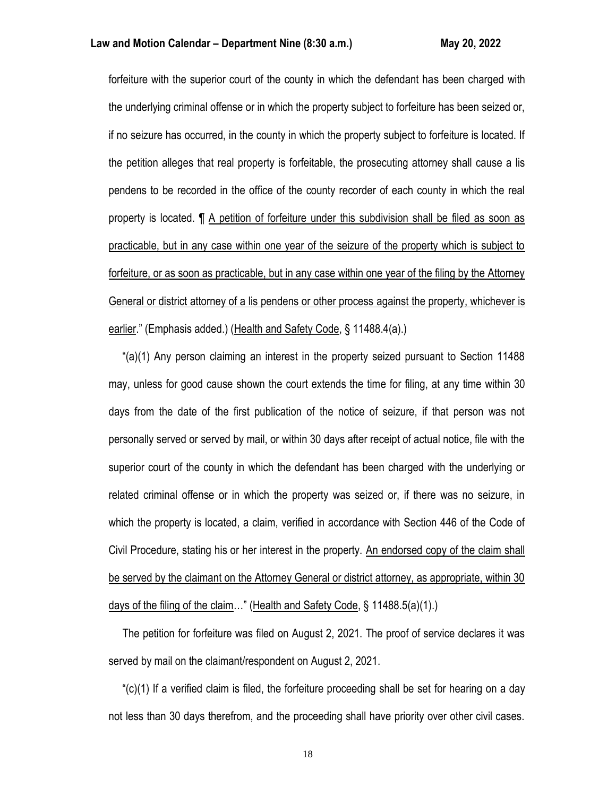forfeiture with the superior court of the county in which the defendant has been charged with the underlying criminal offense or in which the property subject to forfeiture has been seized or, if no seizure has occurred, in the county in which the property subject to forfeiture is located. If the petition alleges that real property is forfeitable, the prosecuting attorney shall cause a lis pendens to be recorded in the office of the county recorder of each county in which the real property is located. ¶ A petition of forfeiture under this subdivision shall be filed as soon as practicable, but in any case within one year of the seizure of the property which is subject to forfeiture, or as soon as practicable, but in any case within one year of the filing by the Attorney General or district attorney of a lis pendens or other process against the property, whichever is earlier." (Emphasis added.) (Health and Safety Code, § 11488.4(a).)

 "(a)(1) Any person claiming an interest in the property seized pursuant to Section 11488 may, unless for good cause shown the court extends the time for filing, at any time within 30 days from the date of the first publication of the notice of seizure, if that person was not personally served or served by mail, or within 30 days after receipt of actual notice, file with the superior court of the county in which the defendant has been charged with the underlying or related criminal offense or in which the property was seized or, if there was no seizure, in which the property is located, a claim, verified in accordance with Section 446 of the Code of Civil Procedure, stating his or her interest in the property. An endorsed copy of the claim shall be served by the claimant on the Attorney General or district attorney, as appropriate, within 30 days of the filing of the claim…" (Health and Safety Code, § 11488.5(a)(1).)

 The petition for forfeiture was filed on August 2, 2021. The proof of service declares it was served by mail on the claimant/respondent on August 2, 2021.

 "(c)(1) If a verified claim is filed, the forfeiture proceeding shall be set for hearing on a day not less than 30 days therefrom, and the proceeding shall have priority over other civil cases.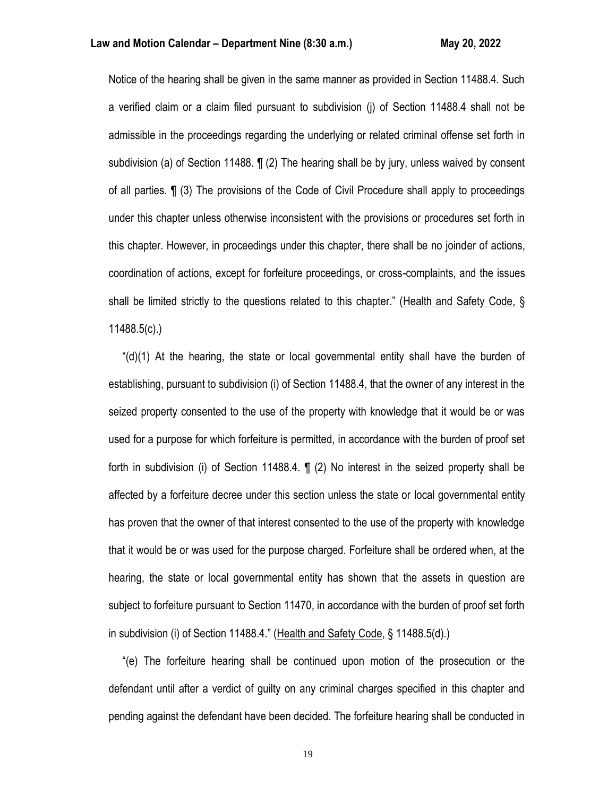Notice of the hearing shall be given in the same manner as provided in Section 11488.4. Such a verified claim or a claim filed pursuant to subdivision (j) of Section 11488.4 shall not be admissible in the proceedings regarding the underlying or related criminal offense set forth in subdivision (a) of Section 11488. ¶ (2) The hearing shall be by jury, unless waived by consent of all parties. ¶ (3) The provisions of the Code of Civil Procedure shall apply to proceedings under this chapter unless otherwise inconsistent with the provisions or procedures set forth in this chapter. However, in proceedings under this chapter, there shall be no joinder of actions, coordination of actions, except for forfeiture proceedings, or cross-complaints, and the issues shall be limited strictly to the questions related to this chapter." (Health and Safety Code, § 11488.5(c).)

 "(d)(1) At the hearing, the state or local governmental entity shall have the burden of establishing, pursuant to subdivision (i) of Section 11488.4, that the owner of any interest in the seized property consented to the use of the property with knowledge that it would be or was used for a purpose for which forfeiture is permitted, in accordance with the burden of proof set forth in subdivision (i) of Section 11488.4. ¶ (2) No interest in the seized property shall be affected by a forfeiture decree under this section unless the state or local governmental entity has proven that the owner of that interest consented to the use of the property with knowledge that it would be or was used for the purpose charged. Forfeiture shall be ordered when, at the hearing, the state or local governmental entity has shown that the assets in question are subject to forfeiture pursuant to Section 11470, in accordance with the burden of proof set forth in subdivision (i) of Section 11488.4." (Health and Safety Code, § 11488.5(d).)

 "(e) The forfeiture hearing shall be continued upon motion of the prosecution or the defendant until after a verdict of guilty on any criminal charges specified in this chapter and pending against the defendant have been decided. The forfeiture hearing shall be conducted in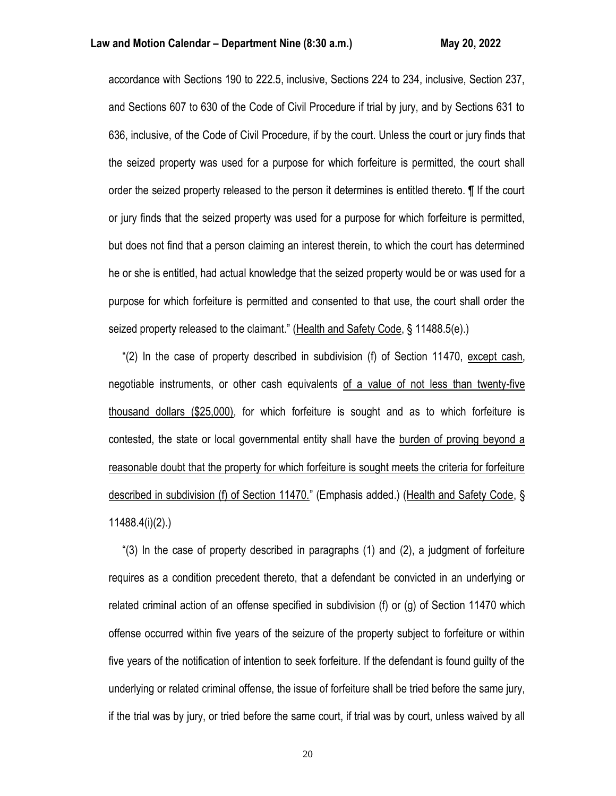### **Law and Motion Calendar – Department Nine (8:30 a.m.) May 20, 2022**

accordance with Sections 190 to 222.5, inclusive, Sections 224 to 234, inclusive, Section 237, and Sections 607 to 630 of the Code of Civil Procedure if trial by jury, and by Sections 631 to 636, inclusive, of the Code of Civil Procedure, if by the court. Unless the court or jury finds that the seized property was used for a purpose for which forfeiture is permitted, the court shall order the seized property released to the person it determines is entitled thereto. ¶ If the court or jury finds that the seized property was used for a purpose for which forfeiture is permitted, but does not find that a person claiming an interest therein, to which the court has determined he or she is entitled, had actual knowledge that the seized property would be or was used for a purpose for which forfeiture is permitted and consented to that use, the court shall order the seized property released to the claimant." (Health and Safety Code, § 11488.5(e).)

 "(2) In the case of property described in subdivision (f) of Section 11470, except cash, negotiable instruments, or other cash equivalents of a value of not less than twenty-five thousand dollars (\$25,000), for which forfeiture is sought and as to which forfeiture is contested, the state or local governmental entity shall have the burden of proving beyond a reasonable doubt that the property for which forfeiture is sought meets the criteria for forfeiture described in subdivision (f) of Section 11470." (Emphasis added.) (Health and Safety Code, § 11488.4(i)(2).)

 "(3) In the case of property described in paragraphs (1) and (2), a judgment of forfeiture requires as a condition precedent thereto, that a defendant be convicted in an underlying or related criminal action of an offense specified in subdivision (f) or (g) of Section 11470 which offense occurred within five years of the seizure of the property subject to forfeiture or within five years of the notification of intention to seek forfeiture. If the defendant is found guilty of the underlying or related criminal offense, the issue of forfeiture shall be tried before the same jury, if the trial was by jury, or tried before the same court, if trial was by court, unless waived by all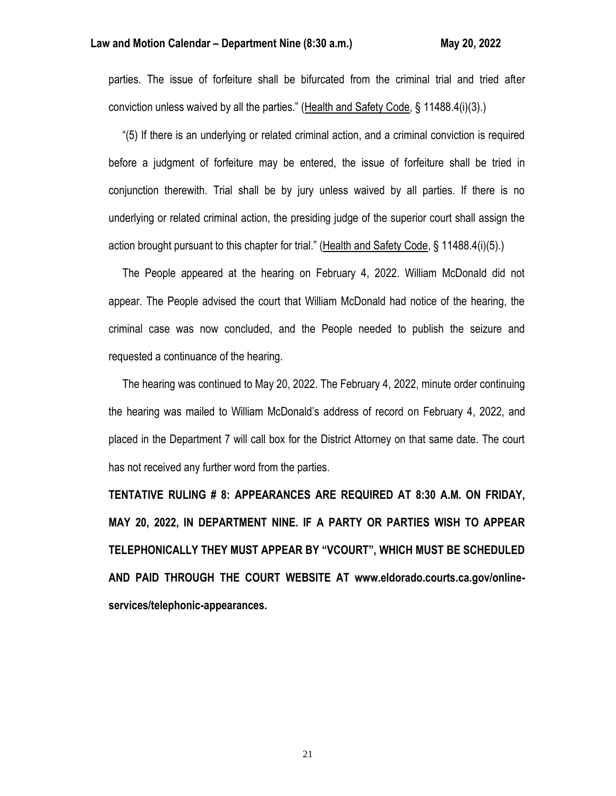### **Law and Motion Calendar – Department Nine (8:30 a.m.) May 20, 2022**

parties. The issue of forfeiture shall be bifurcated from the criminal trial and tried after conviction unless waived by all the parties." (Health and Safety Code, § 11488.4(i)(3).)

 "(5) If there is an underlying or related criminal action, and a criminal conviction is required before a judgment of forfeiture may be entered, the issue of forfeiture shall be tried in conjunction therewith. Trial shall be by jury unless waived by all parties. If there is no underlying or related criminal action, the presiding judge of the superior court shall assign the action brought pursuant to this chapter for trial." (Health and Safety Code, § 11488.4(i)(5).)

 The People appeared at the hearing on February 4, 2022. William McDonald did not appear. The People advised the court that William McDonald had notice of the hearing, the criminal case was now concluded, and the People needed to publish the seizure and requested a continuance of the hearing.

 The hearing was continued to May 20, 2022. The February 4, 2022, minute order continuing the hearing was mailed to William McDonald's address of record on February 4, 2022, and placed in the Department 7 will call box for the District Attorney on that same date. The court has not received any further word from the parties.

**TENTATIVE RULING # 8: APPEARANCES ARE REQUIRED AT 8:30 A.M. ON FRIDAY, MAY 20, 2022, IN DEPARTMENT NINE. IF A PARTY OR PARTIES WISH TO APPEAR TELEPHONICALLY THEY MUST APPEAR BY "VCOURT", WHICH MUST BE SCHEDULED AND PAID THROUGH THE COURT WEBSITE AT www.eldorado.courts.ca.gov/onlineservices/telephonic-appearances.**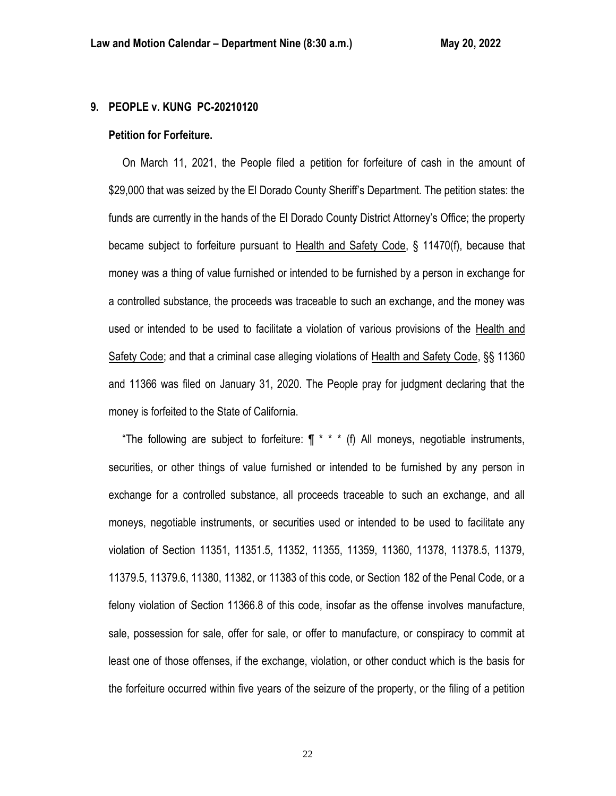# **9. PEOPLE v. KUNG PC-20210120**

#### **Petition for Forfeiture.**

 On March 11, 2021, the People filed a petition for forfeiture of cash in the amount of \$29,000 that was seized by the El Dorado County Sheriff's Department. The petition states: the funds are currently in the hands of the El Dorado County District Attorney's Office; the property became subject to forfeiture pursuant to Health and Safety Code, § 11470(f), because that money was a thing of value furnished or intended to be furnished by a person in exchange for a controlled substance, the proceeds was traceable to such an exchange, and the money was used or intended to be used to facilitate a violation of various provisions of the Health and Safety Code; and that a criminal case alleging violations of Health and Safety Code, §§ 11360 and 11366 was filed on January 31, 2020. The People pray for judgment declaring that the money is forfeited to the State of California.

"The following are subject to forfeiture:  $\P$  \* \* \* (f) All moneys, negotiable instruments, securities, or other things of value furnished or intended to be furnished by any person in exchange for a controlled substance, all proceeds traceable to such an exchange, and all moneys, negotiable instruments, or securities used or intended to be used to facilitate any violation of Section 11351, 11351.5, 11352, 11355, 11359, 11360, 11378, 11378.5, 11379, 11379.5, 11379.6, 11380, 11382, or 11383 of this code, or Section 182 of the Penal Code, or a felony violation of Section 11366.8 of this code, insofar as the offense involves manufacture, sale, possession for sale, offer for sale, or offer to manufacture, or conspiracy to commit at least one of those offenses, if the exchange, violation, or other conduct which is the basis for the forfeiture occurred within five years of the seizure of the property, or the filing of a petition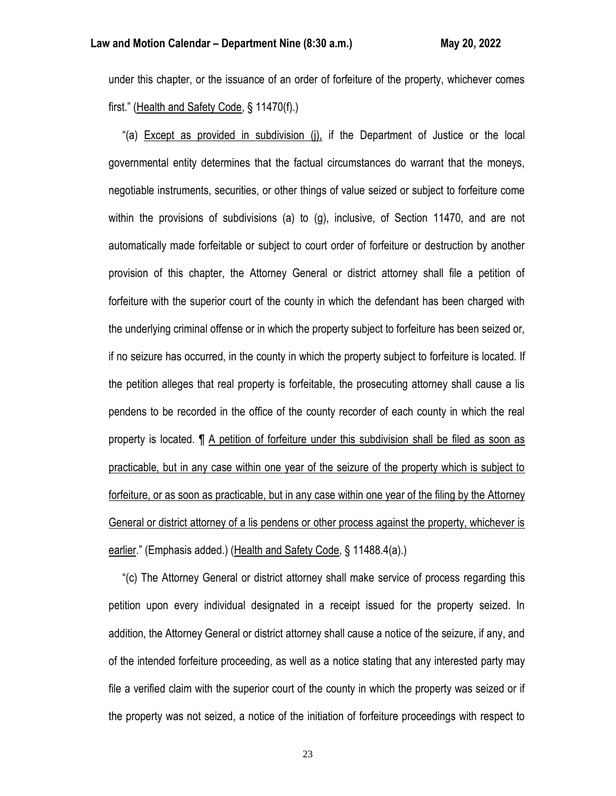under this chapter, or the issuance of an order of forfeiture of the property, whichever comes first." (Health and Safety Code, § 11470(f).)

 "(a) Except as provided in subdivision (j), if the Department of Justice or the local governmental entity determines that the factual circumstances do warrant that the moneys, negotiable instruments, securities, or other things of value seized or subject to forfeiture come within the provisions of subdivisions (a) to (g), inclusive, of Section 11470, and are not automatically made forfeitable or subject to court order of forfeiture or destruction by another provision of this chapter, the Attorney General or district attorney shall file a petition of forfeiture with the superior court of the county in which the defendant has been charged with the underlying criminal offense or in which the property subject to forfeiture has been seized or, if no seizure has occurred, in the county in which the property subject to forfeiture is located. If the petition alleges that real property is forfeitable, the prosecuting attorney shall cause a lis pendens to be recorded in the office of the county recorder of each county in which the real property is located. ¶ A petition of forfeiture under this subdivision shall be filed as soon as practicable, but in any case within one year of the seizure of the property which is subject to forfeiture, or as soon as practicable, but in any case within one year of the filing by the Attorney General or district attorney of a lis pendens or other process against the property, whichever is earlier." (Emphasis added.) (Health and Safety Code, § 11488.4(a).)

 "(c) The Attorney General or district attorney shall make service of process regarding this petition upon every individual designated in a receipt issued for the property seized. In addition, the Attorney General or district attorney shall cause a notice of the seizure, if any, and of the intended forfeiture proceeding, as well as a notice stating that any interested party may file a verified claim with the superior court of the county in which the property was seized or if the property was not seized, a notice of the initiation of forfeiture proceedings with respect to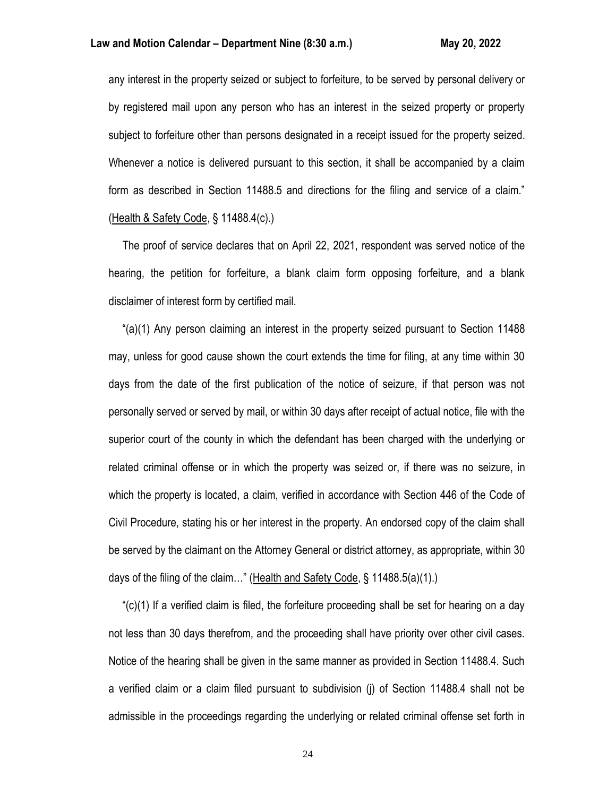any interest in the property seized or subject to forfeiture, to be served by personal delivery or by registered mail upon any person who has an interest in the seized property or property subject to forfeiture other than persons designated in a receipt issued for the property seized. Whenever a notice is delivered pursuant to this section, it shall be accompanied by a claim form as described in Section 11488.5 and directions for the filing and service of a claim." (Health & Safety Code, § 11488.4(c).)

 The proof of service declares that on April 22, 2021, respondent was served notice of the hearing, the petition for forfeiture, a blank claim form opposing forfeiture, and a blank disclaimer of interest form by certified mail.

 "(a)(1) Any person claiming an interest in the property seized pursuant to Section 11488 may, unless for good cause shown the court extends the time for filing, at any time within 30 days from the date of the first publication of the notice of seizure, if that person was not personally served or served by mail, or within 30 days after receipt of actual notice, file with the superior court of the county in which the defendant has been charged with the underlying or related criminal offense or in which the property was seized or, if there was no seizure, in which the property is located, a claim, verified in accordance with Section 446 of the Code of Civil Procedure, stating his or her interest in the property. An endorsed copy of the claim shall be served by the claimant on the Attorney General or district attorney, as appropriate, within 30 days of the filing of the claim..." (Health and Safety Code, § 11488.5(a)(1).)

 "(c)(1) If a verified claim is filed, the forfeiture proceeding shall be set for hearing on a day not less than 30 days therefrom, and the proceeding shall have priority over other civil cases. Notice of the hearing shall be given in the same manner as provided in Section 11488.4. Such a verified claim or a claim filed pursuant to subdivision (j) of Section 11488.4 shall not be admissible in the proceedings regarding the underlying or related criminal offense set forth in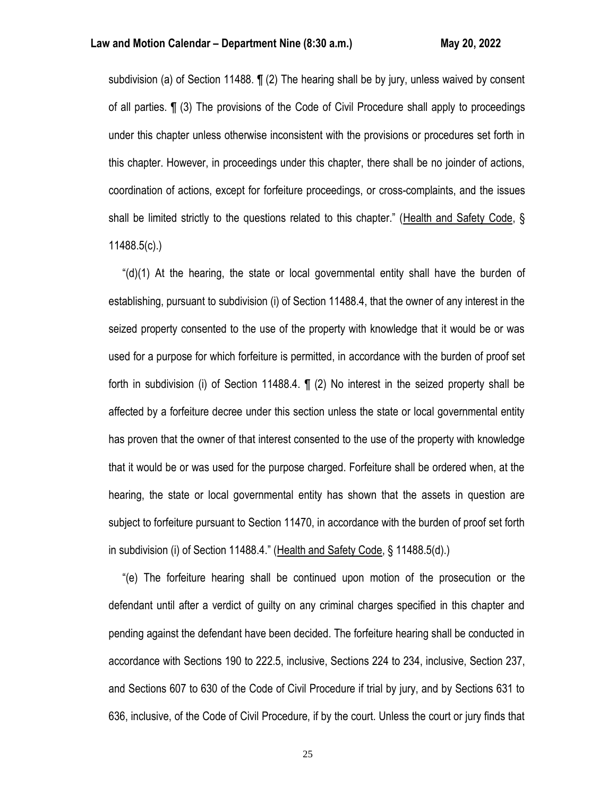subdivision (a) of Section 11488. ¶ (2) The hearing shall be by jury, unless waived by consent of all parties. ¶ (3) The provisions of the Code of Civil Procedure shall apply to proceedings under this chapter unless otherwise inconsistent with the provisions or procedures set forth in this chapter. However, in proceedings under this chapter, there shall be no joinder of actions, coordination of actions, except for forfeiture proceedings, or cross-complaints, and the issues shall be limited strictly to the questions related to this chapter." (Health and Safety Code, § 11488.5(c).)

 "(d)(1) At the hearing, the state or local governmental entity shall have the burden of establishing, pursuant to subdivision (i) of Section 11488.4, that the owner of any interest in the seized property consented to the use of the property with knowledge that it would be or was used for a purpose for which forfeiture is permitted, in accordance with the burden of proof set forth in subdivision (i) of Section 11488.4. ¶ (2) No interest in the seized property shall be affected by a forfeiture decree under this section unless the state or local governmental entity has proven that the owner of that interest consented to the use of the property with knowledge that it would be or was used for the purpose charged. Forfeiture shall be ordered when, at the hearing, the state or local governmental entity has shown that the assets in question are subject to forfeiture pursuant to Section 11470, in accordance with the burden of proof set forth in subdivision (i) of Section 11488.4." (Health and Safety Code, § 11488.5(d).)

 "(e) The forfeiture hearing shall be continued upon motion of the prosecution or the defendant until after a verdict of guilty on any criminal charges specified in this chapter and pending against the defendant have been decided. The forfeiture hearing shall be conducted in accordance with Sections 190 to 222.5, inclusive, Sections 224 to 234, inclusive, Section 237, and Sections 607 to 630 of the Code of Civil Procedure if trial by jury, and by Sections 631 to 636, inclusive, of the Code of Civil Procedure, if by the court. Unless the court or jury finds that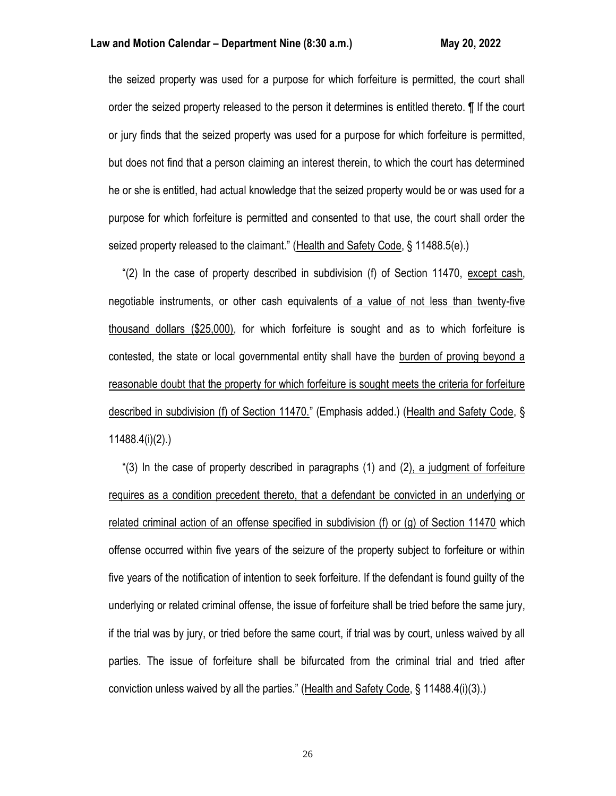the seized property was used for a purpose for which forfeiture is permitted, the court shall order the seized property released to the person it determines is entitled thereto. ¶ If the court or jury finds that the seized property was used for a purpose for which forfeiture is permitted, but does not find that a person claiming an interest therein, to which the court has determined he or she is entitled, had actual knowledge that the seized property would be or was used for a purpose for which forfeiture is permitted and consented to that use, the court shall order the seized property released to the claimant." (Health and Safety Code, § 11488.5(e).)

 "(2) In the case of property described in subdivision (f) of Section 11470, except cash, negotiable instruments, or other cash equivalents of a value of not less than twenty-five thousand dollars (\$25,000), for which forfeiture is sought and as to which forfeiture is contested, the state or local governmental entity shall have the burden of proving beyond a reasonable doubt that the property for which forfeiture is sought meets the criteria for forfeiture described in subdivision (f) of Section 11470." (Emphasis added.) (Health and Safety Code, § 11488.4(i)(2).)

 "(3) In the case of property described in paragraphs (1) and (2), a judgment of forfeiture requires as a condition precedent thereto, that a defendant be convicted in an underlying or related criminal action of an offense specified in subdivision (f) or (g) of Section 11470 which offense occurred within five years of the seizure of the property subject to forfeiture or within five years of the notification of intention to seek forfeiture. If the defendant is found guilty of the underlying or related criminal offense, the issue of forfeiture shall be tried before the same jury, if the trial was by jury, or tried before the same court, if trial was by court, unless waived by all parties. The issue of forfeiture shall be bifurcated from the criminal trial and tried after conviction unless waived by all the parties." (Health and Safety Code, § 11488.4(i)(3).)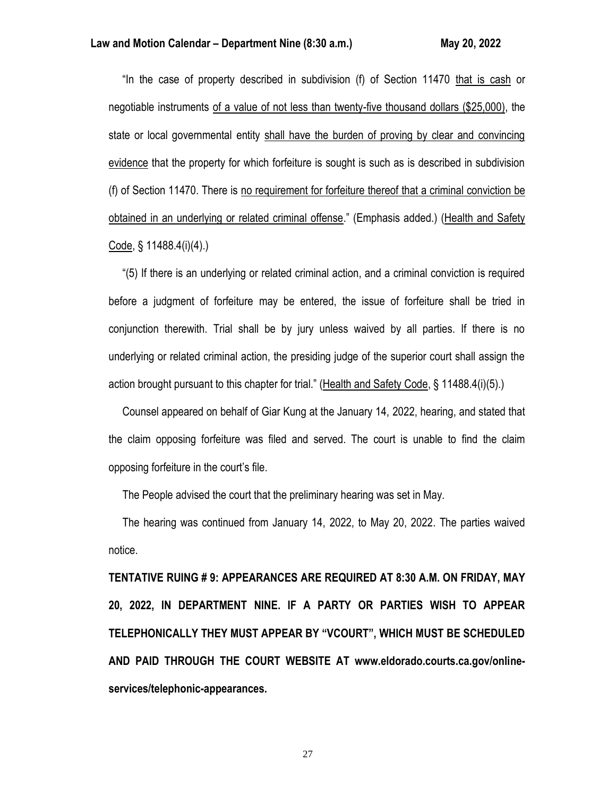"In the case of property described in subdivision (f) of Section 11470 that is cash or negotiable instruments of a value of not less than twenty-five thousand dollars (\$25,000), the state or local governmental entity shall have the burden of proving by clear and convincing evidence that the property for which forfeiture is sought is such as is described in subdivision (f) of Section 11470. There is no requirement for forfeiture thereof that a criminal conviction be obtained in an underlying or related criminal offense." (Emphasis added.) (Health and Safety Code, § 11488.4(i)(4).)

 "(5) If there is an underlying or related criminal action, and a criminal conviction is required before a judgment of forfeiture may be entered, the issue of forfeiture shall be tried in conjunction therewith. Trial shall be by jury unless waived by all parties. If there is no underlying or related criminal action, the presiding judge of the superior court shall assign the action brought pursuant to this chapter for trial." (Health and Safety Code, § 11488.4(i)(5).)

 Counsel appeared on behalf of Giar Kung at the January 14, 2022, hearing, and stated that the claim opposing forfeiture was filed and served. The court is unable to find the claim opposing forfeiture in the court's file.

The People advised the court that the preliminary hearing was set in May.

 The hearing was continued from January 14, 2022, to May 20, 2022. The parties waived notice.

**TENTATIVE RUING # 9: APPEARANCES ARE REQUIRED AT 8:30 A.M. ON FRIDAY, MAY 20, 2022, IN DEPARTMENT NINE. IF A PARTY OR PARTIES WISH TO APPEAR TELEPHONICALLY THEY MUST APPEAR BY "VCOURT", WHICH MUST BE SCHEDULED AND PAID THROUGH THE COURT WEBSITE AT www.eldorado.courts.ca.gov/onlineservices/telephonic-appearances.**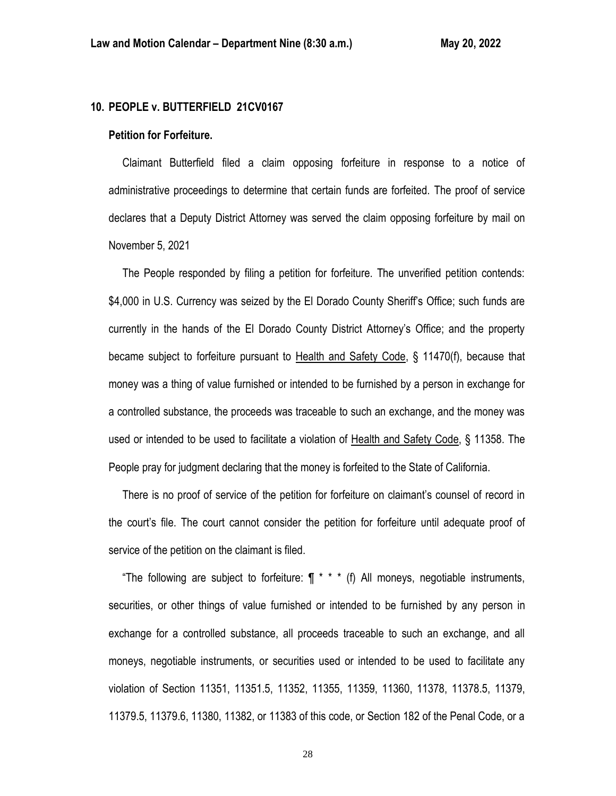# **10. PEOPLE v. BUTTERFIELD 21CV0167**

#### **Petition for Forfeiture.**

 Claimant Butterfield filed a claim opposing forfeiture in response to a notice of administrative proceedings to determine that certain funds are forfeited. The proof of service declares that a Deputy District Attorney was served the claim opposing forfeiture by mail on November 5, 2021

 The People responded by filing a petition for forfeiture. The unverified petition contends: \$4,000 in U.S. Currency was seized by the El Dorado County Sheriff's Office; such funds are currently in the hands of the El Dorado County District Attorney's Office; and the property became subject to forfeiture pursuant to Health and Safety Code, § 11470(f), because that money was a thing of value furnished or intended to be furnished by a person in exchange for a controlled substance, the proceeds was traceable to such an exchange, and the money was used or intended to be used to facilitate a violation of Health and Safety Code, § 11358. The People pray for judgment declaring that the money is forfeited to the State of California.

 There is no proof of service of the petition for forfeiture on claimant's counsel of record in the court's file. The court cannot consider the petition for forfeiture until adequate proof of service of the petition on the claimant is filed.

"The following are subject to forfeiture:  $\P$  \* \* \* (f) All moneys, negotiable instruments, securities, or other things of value furnished or intended to be furnished by any person in exchange for a controlled substance, all proceeds traceable to such an exchange, and all moneys, negotiable instruments, or securities used or intended to be used to facilitate any violation of Section 11351, 11351.5, 11352, 11355, 11359, 11360, 11378, 11378.5, 11379, 11379.5, 11379.6, 11380, 11382, or 11383 of this code, or Section 182 of the Penal Code, or a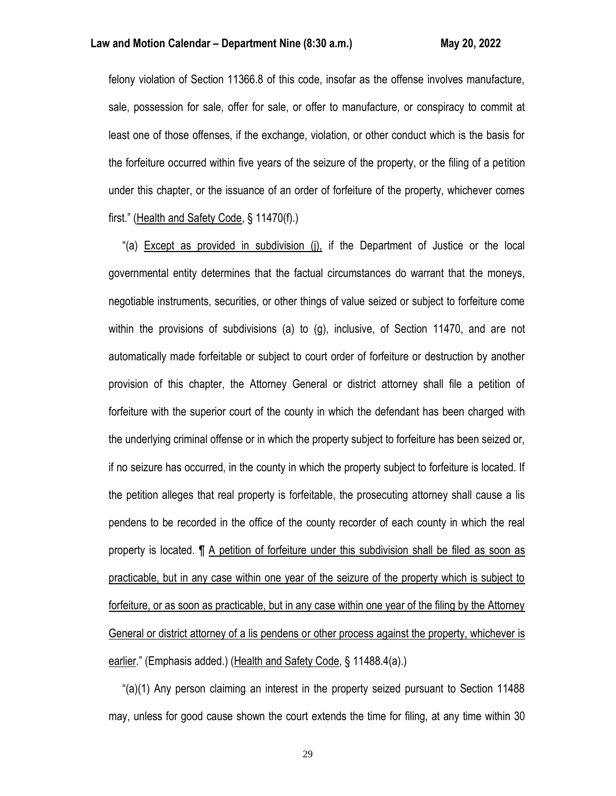felony violation of Section 11366.8 of this code, insofar as the offense involves manufacture, sale, possession for sale, offer for sale, or offer to manufacture, or conspiracy to commit at least one of those offenses, if the exchange, violation, or other conduct which is the basis for the forfeiture occurred within five years of the seizure of the property, or the filing of a petition under this chapter, or the issuance of an order of forfeiture of the property, whichever comes first." (Health and Safety Code, § 11470(f).)

"(a) **Except as provided in subdivision (i)**, if the Department of Justice or the local governmental entity determines that the factual circumstances do warrant that the moneys, negotiable instruments, securities, or other things of value seized or subject to forfeiture come within the provisions of subdivisions (a) to (g), inclusive, of Section 11470, and are not automatically made forfeitable or subject to court order of forfeiture or destruction by another provision of this chapter, the Attorney General or district attorney shall file a petition of forfeiture with the superior court of the county in which the defendant has been charged with the underlying criminal offense or in which the property subject to forfeiture has been seized or, if no seizure has occurred, in the county in which the property subject to forfeiture is located. If the petition alleges that real property is forfeitable, the prosecuting attorney shall cause a lis pendens to be recorded in the office of the county recorder of each county in which the real property is located. ¶ A petition of forfeiture under this subdivision shall be filed as soon as practicable, but in any case within one year of the seizure of the property which is subject to forfeiture, or as soon as practicable, but in any case within one year of the filing by the Attorney General or district attorney of a lis pendens or other process against the property, whichever is earlier." (Emphasis added.) (Health and Safety Code, § 11488.4(a).)

 "(a)(1) Any person claiming an interest in the property seized pursuant to Section 11488 may, unless for good cause shown the court extends the time for filing, at any time within 30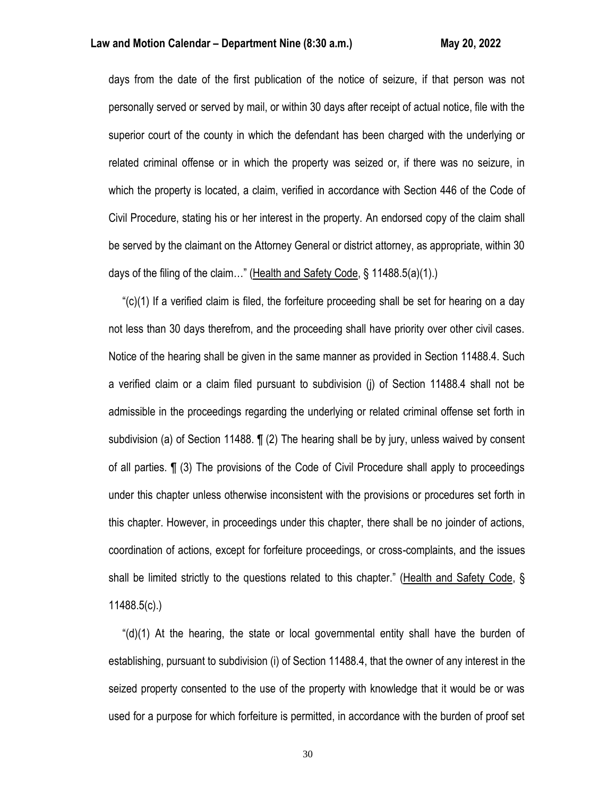days from the date of the first publication of the notice of seizure, if that person was not personally served or served by mail, or within 30 days after receipt of actual notice, file with the superior court of the county in which the defendant has been charged with the underlying or related criminal offense or in which the property was seized or, if there was no seizure, in which the property is located, a claim, verified in accordance with Section 446 of the Code of Civil Procedure, stating his or her interest in the property. An endorsed copy of the claim shall be served by the claimant on the Attorney General or district attorney, as appropriate, within 30 days of the filing of the claim..." (Health and Safety Code, § 11488.5(a)(1).)

" $(c)(1)$  If a verified claim is filed, the forfeiture proceeding shall be set for hearing on a day not less than 30 days therefrom, and the proceeding shall have priority over other civil cases. Notice of the hearing shall be given in the same manner as provided in Section 11488.4. Such a verified claim or a claim filed pursuant to subdivision (j) of Section 11488.4 shall not be admissible in the proceedings regarding the underlying or related criminal offense set forth in subdivision (a) of Section 11488.  $\P$  (2) The hearing shall be by jury, unless waived by consent of all parties. ¶ (3) The provisions of the Code of Civil Procedure shall apply to proceedings under this chapter unless otherwise inconsistent with the provisions or procedures set forth in this chapter. However, in proceedings under this chapter, there shall be no joinder of actions, coordination of actions, except for forfeiture proceedings, or cross-complaints, and the issues shall be limited strictly to the questions related to this chapter." (Health and Safety Code, § 11488.5(c).)

 "(d)(1) At the hearing, the state or local governmental entity shall have the burden of establishing, pursuant to subdivision (i) of Section 11488.4, that the owner of any interest in the seized property consented to the use of the property with knowledge that it would be or was used for a purpose for which forfeiture is permitted, in accordance with the burden of proof set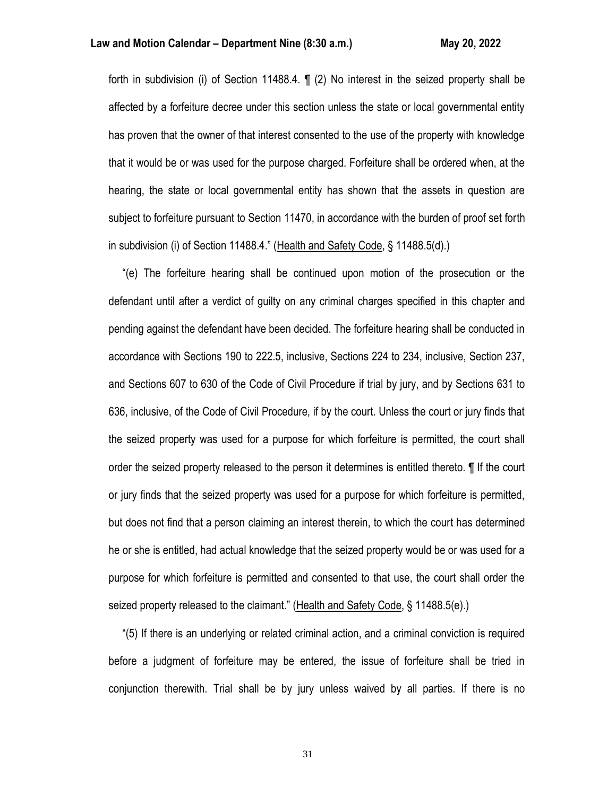forth in subdivision (i) of Section 11488.4. ¶ (2) No interest in the seized property shall be affected by a forfeiture decree under this section unless the state or local governmental entity has proven that the owner of that interest consented to the use of the property with knowledge that it would be or was used for the purpose charged. Forfeiture shall be ordered when, at the hearing, the state or local governmental entity has shown that the assets in question are subject to forfeiture pursuant to Section 11470, in accordance with the burden of proof set forth in subdivision (i) of Section 11488.4." (Health and Safety Code, § 11488.5(d).)

 "(e) The forfeiture hearing shall be continued upon motion of the prosecution or the defendant until after a verdict of guilty on any criminal charges specified in this chapter and pending against the defendant have been decided. The forfeiture hearing shall be conducted in accordance with Sections 190 to 222.5, inclusive, Sections 224 to 234, inclusive, Section 237, and Sections 607 to 630 of the Code of Civil Procedure if trial by jury, and by Sections 631 to 636, inclusive, of the Code of Civil Procedure, if by the court. Unless the court or jury finds that the seized property was used for a purpose for which forfeiture is permitted, the court shall order the seized property released to the person it determines is entitled thereto. ¶ If the court or jury finds that the seized property was used for a purpose for which forfeiture is permitted, but does not find that a person claiming an interest therein, to which the court has determined he or she is entitled, had actual knowledge that the seized property would be or was used for a purpose for which forfeiture is permitted and consented to that use, the court shall order the seized property released to the claimant." (Health and Safety Code, § 11488.5(e).)

 "(5) If there is an underlying or related criminal action, and a criminal conviction is required before a judgment of forfeiture may be entered, the issue of forfeiture shall be tried in conjunction therewith. Trial shall be by jury unless waived by all parties. If there is no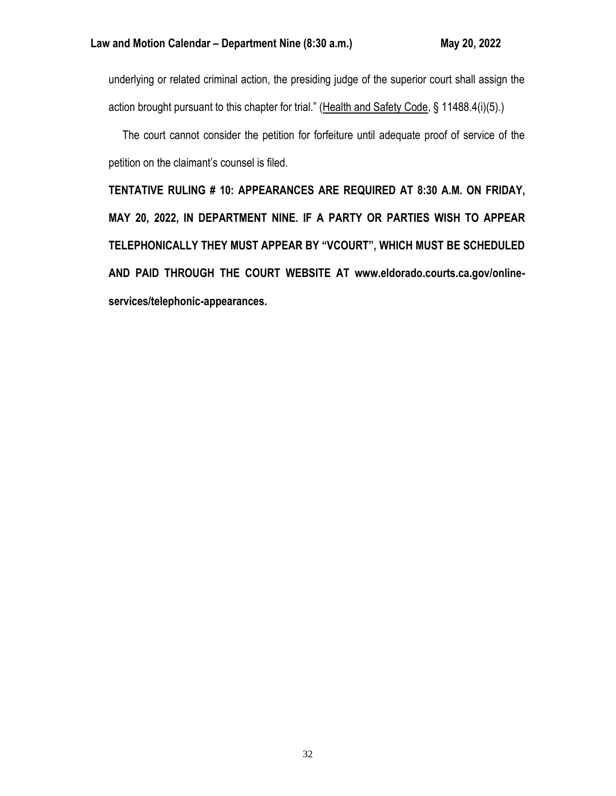underlying or related criminal action, the presiding judge of the superior court shall assign the action brought pursuant to this chapter for trial." (Health and Safety Code, § 11488.4(i)(5).)

 The court cannot consider the petition for forfeiture until adequate proof of service of the petition on the claimant's counsel is filed.

**TENTATIVE RULING # 10: APPEARANCES ARE REQUIRED AT 8:30 A.M. ON FRIDAY, MAY 20, 2022, IN DEPARTMENT NINE. IF A PARTY OR PARTIES WISH TO APPEAR TELEPHONICALLY THEY MUST APPEAR BY "VCOURT", WHICH MUST BE SCHEDULED AND PAID THROUGH THE COURT WEBSITE AT www.eldorado.courts.ca.gov/onlineservices/telephonic-appearances.**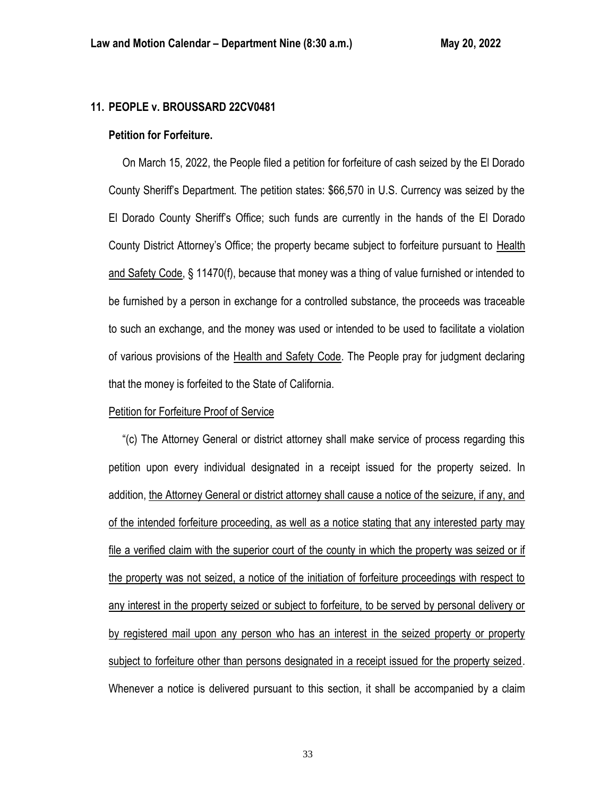# **11. PEOPLE v. BROUSSARD 22CV0481**

### **Petition for Forfeiture.**

 On March 15, 2022, the People filed a petition for forfeiture of cash seized by the El Dorado County Sheriff's Department. The petition states: \$66,570 in U.S. Currency was seized by the El Dorado County Sheriff's Office; such funds are currently in the hands of the El Dorado County District Attorney's Office; the property became subject to forfeiture pursuant to Health and Safety Code, § 11470(f), because that money was a thing of value furnished or intended to be furnished by a person in exchange for a controlled substance, the proceeds was traceable to such an exchange, and the money was used or intended to be used to facilitate a violation of various provisions of the Health and Safety Code. The People pray for judgment declaring that the money is forfeited to the State of California.

### Petition for Forfeiture Proof of Service

 "(c) The Attorney General or district attorney shall make service of process regarding this petition upon every individual designated in a receipt issued for the property seized. In addition, the Attorney General or district attorney shall cause a notice of the seizure, if any, and of the intended forfeiture proceeding, as well as a notice stating that any interested party may file a verified claim with the superior court of the county in which the property was seized or if the property was not seized, a notice of the initiation of forfeiture proceedings with respect to any interest in the property seized or subject to forfeiture, to be served by personal delivery or by registered mail upon any person who has an interest in the seized property or property subject to forfeiture other than persons designated in a receipt issued for the property seized. Whenever a notice is delivered pursuant to this section, it shall be accompanied by a claim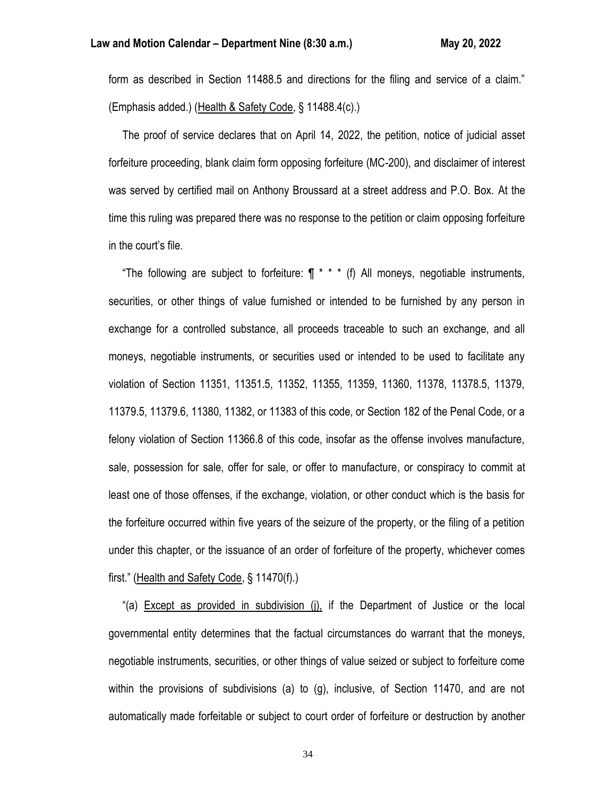form as described in Section 11488.5 and directions for the filing and service of a claim." (Emphasis added.) (Health & Safety Code, § 11488.4(c).)

 The proof of service declares that on April 14, 2022, the petition, notice of judicial asset forfeiture proceeding, blank claim form opposing forfeiture (MC-200), and disclaimer of interest was served by certified mail on Anthony Broussard at a street address and P.O. Box. At the time this ruling was prepared there was no response to the petition or claim opposing forfeiture in the court's file.

"The following are subject to forfeiture:  $\P$  \* \* \* (f) All moneys, negotiable instruments, securities, or other things of value furnished or intended to be furnished by any person in exchange for a controlled substance, all proceeds traceable to such an exchange, and all moneys, negotiable instruments, or securities used or intended to be used to facilitate any violation of Section 11351, 11351.5, 11352, 11355, 11359, 11360, 11378, 11378.5, 11379, 11379.5, 11379.6, 11380, 11382, or 11383 of this code, or Section 182 of the Penal Code, or a felony violation of Section 11366.8 of this code, insofar as the offense involves manufacture, sale, possession for sale, offer for sale, or offer to manufacture, or conspiracy to commit at least one of those offenses, if the exchange, violation, or other conduct which is the basis for the forfeiture occurred within five years of the seizure of the property, or the filing of a petition under this chapter, or the issuance of an order of forfeiture of the property, whichever comes first." (Health and Safety Code, § 11470(f).)

 "(a) Except as provided in subdivision (j), if the Department of Justice or the local governmental entity determines that the factual circumstances do warrant that the moneys, negotiable instruments, securities, or other things of value seized or subject to forfeiture come within the provisions of subdivisions (a) to (g), inclusive, of Section 11470, and are not automatically made forfeitable or subject to court order of forfeiture or destruction by another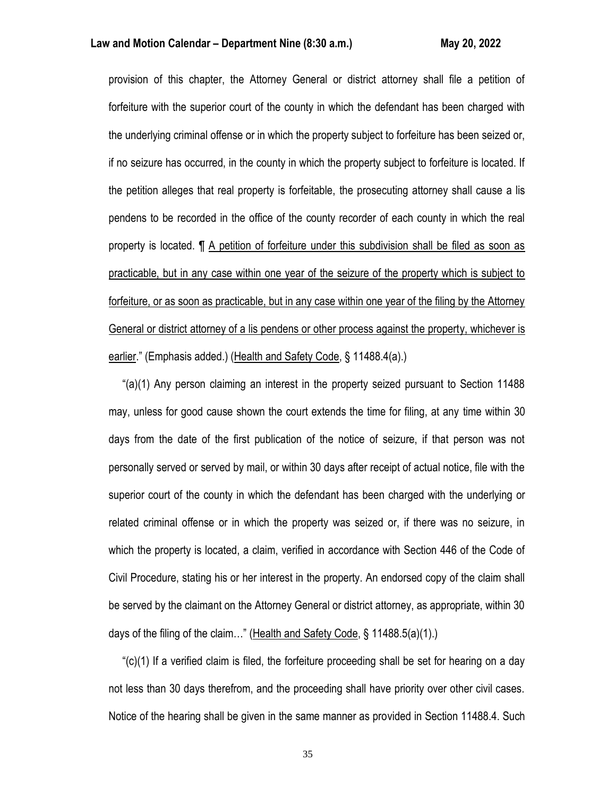### **Law and Motion Calendar – Department Nine (8:30 a.m.) May 20, 2022**

provision of this chapter, the Attorney General or district attorney shall file a petition of forfeiture with the superior court of the county in which the defendant has been charged with the underlying criminal offense or in which the property subject to forfeiture has been seized or, if no seizure has occurred, in the county in which the property subject to forfeiture is located. If the petition alleges that real property is forfeitable, the prosecuting attorney shall cause a lis pendens to be recorded in the office of the county recorder of each county in which the real property is located. ¶ A petition of forfeiture under this subdivision shall be filed as soon as practicable, but in any case within one year of the seizure of the property which is subject to forfeiture, or as soon as practicable, but in any case within one year of the filing by the Attorney General or district attorney of a lis pendens or other process against the property, whichever is earlier." (Emphasis added.) (Health and Safety Code, § 11488.4(a).)

 "(a)(1) Any person claiming an interest in the property seized pursuant to Section 11488 may, unless for good cause shown the court extends the time for filing, at any time within 30 days from the date of the first publication of the notice of seizure, if that person was not personally served or served by mail, or within 30 days after receipt of actual notice, file with the superior court of the county in which the defendant has been charged with the underlying or related criminal offense or in which the property was seized or, if there was no seizure, in which the property is located, a claim, verified in accordance with Section 446 of the Code of Civil Procedure, stating his or her interest in the property. An endorsed copy of the claim shall be served by the claimant on the Attorney General or district attorney, as appropriate, within 30 days of the filing of the claim…" (Health and Safety Code, § 11488.5(a)(1).)

 "(c)(1) If a verified claim is filed, the forfeiture proceeding shall be set for hearing on a day not less than 30 days therefrom, and the proceeding shall have priority over other civil cases. Notice of the hearing shall be given in the same manner as provided in Section 11488.4. Such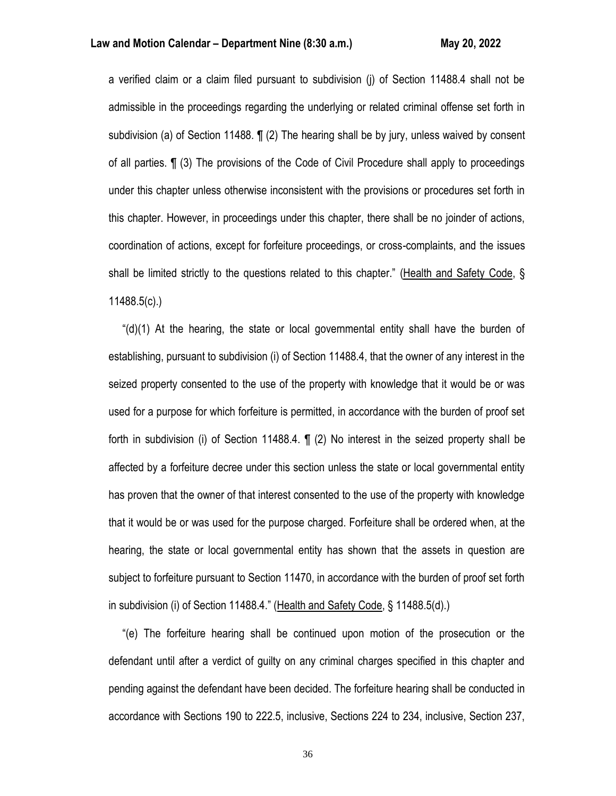a verified claim or a claim filed pursuant to subdivision (j) of Section 11488.4 shall not be admissible in the proceedings regarding the underlying or related criminal offense set forth in subdivision (a) of Section 11488. ¶ (2) The hearing shall be by jury, unless waived by consent of all parties. ¶ (3) The provisions of the Code of Civil Procedure shall apply to proceedings under this chapter unless otherwise inconsistent with the provisions or procedures set forth in this chapter. However, in proceedings under this chapter, there shall be no joinder of actions, coordination of actions, except for forfeiture proceedings, or cross-complaints, and the issues shall be limited strictly to the questions related to this chapter." (Health and Safety Code, § 11488.5(c).)

" $(d)(1)$  At the hearing, the state or local governmental entity shall have the burden of establishing, pursuant to subdivision (i) of Section 11488.4, that the owner of any interest in the seized property consented to the use of the property with knowledge that it would be or was used for a purpose for which forfeiture is permitted, in accordance with the burden of proof set forth in subdivision (i) of Section 11488.4. ¶ (2) No interest in the seized property shall be affected by a forfeiture decree under this section unless the state or local governmental entity has proven that the owner of that interest consented to the use of the property with knowledge that it would be or was used for the purpose charged. Forfeiture shall be ordered when, at the hearing, the state or local governmental entity has shown that the assets in question are subject to forfeiture pursuant to Section 11470, in accordance with the burden of proof set forth in subdivision (i) of Section 11488.4." (Health and Safety Code, § 11488.5(d).)

 "(e) The forfeiture hearing shall be continued upon motion of the prosecution or the defendant until after a verdict of guilty on any criminal charges specified in this chapter and pending against the defendant have been decided. The forfeiture hearing shall be conducted in accordance with Sections 190 to 222.5, inclusive, Sections 224 to 234, inclusive, Section 237,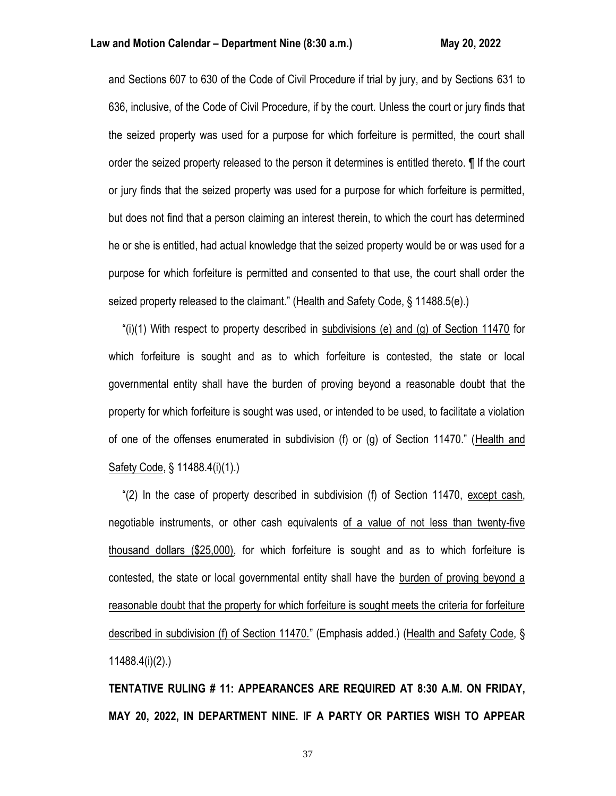and Sections 607 to 630 of the Code of Civil Procedure if trial by jury, and by Sections 631 to 636, inclusive, of the Code of Civil Procedure, if by the court. Unless the court or jury finds that the seized property was used for a purpose for which forfeiture is permitted, the court shall order the seized property released to the person it determines is entitled thereto. ¶ If the court or jury finds that the seized property was used for a purpose for which forfeiture is permitted, but does not find that a person claiming an interest therein, to which the court has determined he or she is entitled, had actual knowledge that the seized property would be or was used for a purpose for which forfeiture is permitted and consented to that use, the court shall order the seized property released to the claimant." (Health and Safety Code, § 11488.5(e).)

"(i)(1) With respect to property described in subdivisions (e) and (g) of Section 11470 for which forfeiture is sought and as to which forfeiture is contested, the state or local governmental entity shall have the burden of proving beyond a reasonable doubt that the property for which forfeiture is sought was used, or intended to be used, to facilitate a violation of one of the offenses enumerated in subdivision (f) or (g) of Section 11470." (Health and Safety Code, § 11488.4(i)(1).)

 "(2) In the case of property described in subdivision (f) of Section 11470, except cash, negotiable instruments, or other cash equivalents of a value of not less than twenty-five thousand dollars (\$25,000), for which forfeiture is sought and as to which forfeiture is contested, the state or local governmental entity shall have the burden of proving beyond a reasonable doubt that the property for which forfeiture is sought meets the criteria for forfeiture described in subdivision (f) of Section 11470." (Emphasis added.) (Health and Safety Code, § 11488.4(i)(2).)

**TENTATIVE RULING # 11: APPEARANCES ARE REQUIRED AT 8:30 A.M. ON FRIDAY, MAY 20, 2022, IN DEPARTMENT NINE. IF A PARTY OR PARTIES WISH TO APPEAR**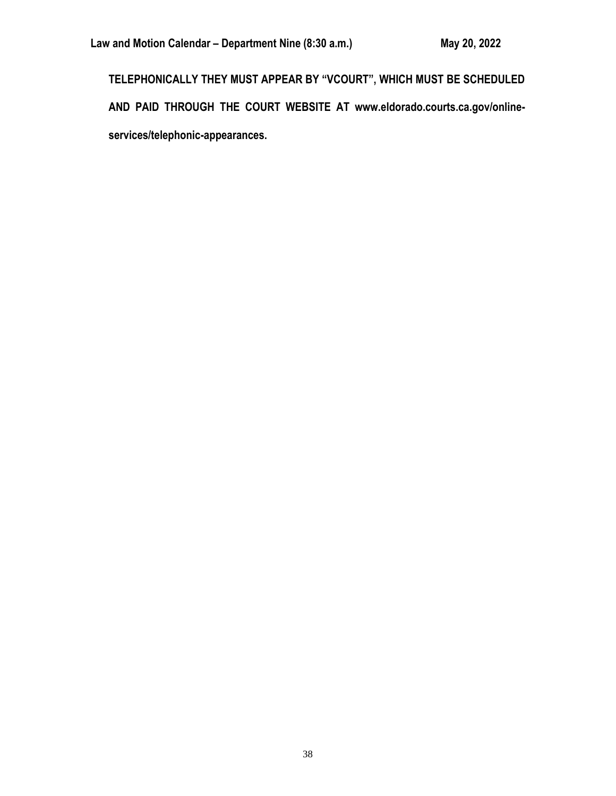**TELEPHONICALLY THEY MUST APPEAR BY "VCOURT", WHICH MUST BE SCHEDULED AND PAID THROUGH THE COURT WEBSITE AT www.eldorado.courts.ca.gov/onlineservices/telephonic-appearances.**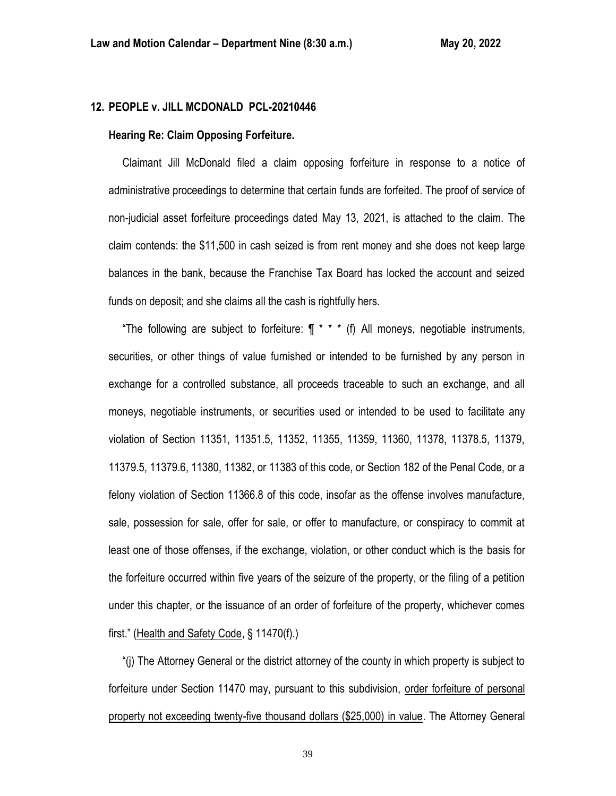# **12. PEOPLE v. JILL MCDONALD PCL-20210446**

### **Hearing Re: Claim Opposing Forfeiture.**

 Claimant Jill McDonald filed a claim opposing forfeiture in response to a notice of administrative proceedings to determine that certain funds are forfeited. The proof of service of non-judicial asset forfeiture proceedings dated May 13, 2021, is attached to the claim. The claim contends: the \$11,500 in cash seized is from rent money and she does not keep large balances in the bank, because the Franchise Tax Board has locked the account and seized funds on deposit; and she claims all the cash is rightfully hers.

"The following are subject to forfeiture:  $\int \pi^*$  \* (f) All moneys, negotiable instruments, securities, or other things of value furnished or intended to be furnished by any person in exchange for a controlled substance, all proceeds traceable to such an exchange, and all moneys, negotiable instruments, or securities used or intended to be used to facilitate any violation of Section 11351, 11351.5, 11352, 11355, 11359, 11360, 11378, 11378.5, 11379, 11379.5, 11379.6, 11380, 11382, or 11383 of this code, or Section 182 of the Penal Code, or a felony violation of Section 11366.8 of this code, insofar as the offense involves manufacture, sale, possession for sale, offer for sale, or offer to manufacture, or conspiracy to commit at least one of those offenses, if the exchange, violation, or other conduct which is the basis for the forfeiture occurred within five years of the seizure of the property, or the filing of a petition under this chapter, or the issuance of an order of forfeiture of the property, whichever comes first." (Health and Safety Code, § 11470(f).)

 "(j) The Attorney General or the district attorney of the county in which property is subject to forfeiture under Section 11470 may, pursuant to this subdivision, order forfeiture of personal property not exceeding twenty-five thousand dollars (\$25,000) in value. The Attorney General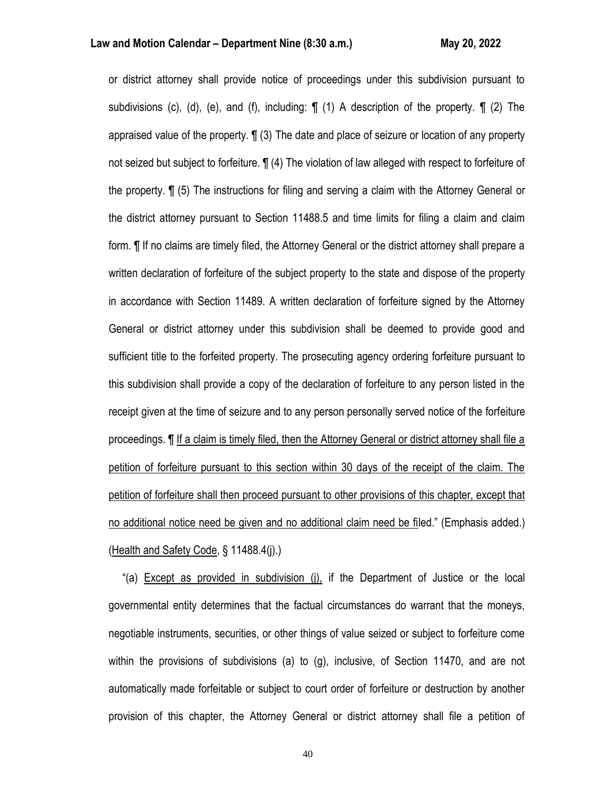or district attorney shall provide notice of proceedings under this subdivision pursuant to subdivisions (c), (d), (e), and (f), including:  $\P$  (1) A description of the property.  $\P$  (2) The appraised value of the property. ¶ (3) The date and place of seizure or location of any property not seized but subject to forfeiture. ¶ (4) The violation of law alleged with respect to forfeiture of the property. ¶ (5) The instructions for filing and serving a claim with the Attorney General or the district attorney pursuant to Section 11488.5 and time limits for filing a claim and claim form. ¶ If no claims are timely filed, the Attorney General or the district attorney shall prepare a written declaration of forfeiture of the subject property to the state and dispose of the property in accordance with Section 11489. A written declaration of forfeiture signed by the Attorney General or district attorney under this subdivision shall be deemed to provide good and sufficient title to the forfeited property. The prosecuting agency ordering forfeiture pursuant to this subdivision shall provide a copy of the declaration of forfeiture to any person listed in the receipt given at the time of seizure and to any person personally served notice of the forfeiture proceedings. ¶ If a claim is timely filed, then the Attorney General or district attorney shall file a petition of forfeiture pursuant to this section within 30 days of the receipt of the claim. The petition of forfeiture shall then proceed pursuant to other provisions of this chapter, except that no additional notice need be given and no additional claim need be filed." (Emphasis added.) (Health and Safety Code, § 11488.4(j).)

 "(a) Except as provided in subdivision (j), if the Department of Justice or the local governmental entity determines that the factual circumstances do warrant that the moneys, negotiable instruments, securities, or other things of value seized or subject to forfeiture come within the provisions of subdivisions (a) to (g), inclusive, of Section 11470, and are not automatically made forfeitable or subject to court order of forfeiture or destruction by another provision of this chapter, the Attorney General or district attorney shall file a petition of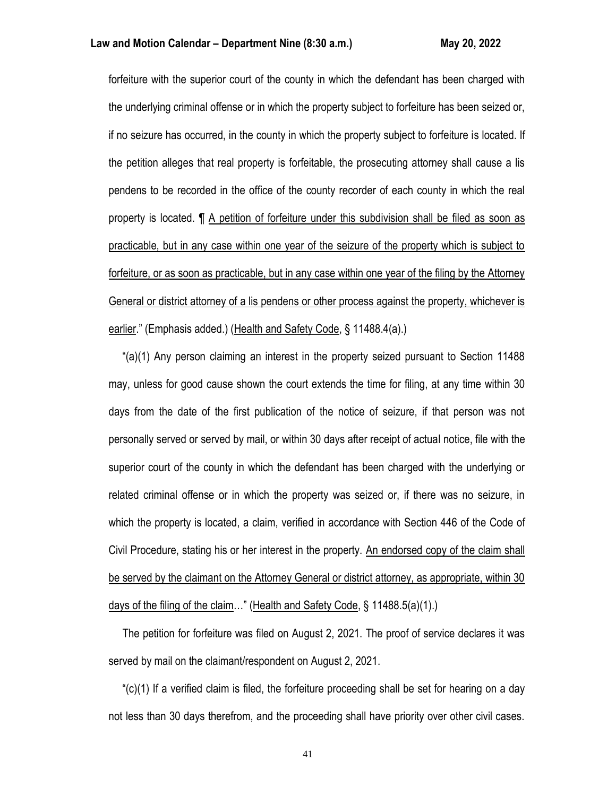forfeiture with the superior court of the county in which the defendant has been charged with the underlying criminal offense or in which the property subject to forfeiture has been seized or, if no seizure has occurred, in the county in which the property subject to forfeiture is located. If the petition alleges that real property is forfeitable, the prosecuting attorney shall cause a lis pendens to be recorded in the office of the county recorder of each county in which the real property is located. ¶ A petition of forfeiture under this subdivision shall be filed as soon as practicable, but in any case within one year of the seizure of the property which is subject to forfeiture, or as soon as practicable, but in any case within one year of the filing by the Attorney General or district attorney of a lis pendens or other process against the property, whichever is earlier." (Emphasis added.) (Health and Safety Code, § 11488.4(a).)

 "(a)(1) Any person claiming an interest in the property seized pursuant to Section 11488 may, unless for good cause shown the court extends the time for filing, at any time within 30 days from the date of the first publication of the notice of seizure, if that person was not personally served or served by mail, or within 30 days after receipt of actual notice, file with the superior court of the county in which the defendant has been charged with the underlying or related criminal offense or in which the property was seized or, if there was no seizure, in which the property is located, a claim, verified in accordance with Section 446 of the Code of Civil Procedure, stating his or her interest in the property. An endorsed copy of the claim shall be served by the claimant on the Attorney General or district attorney, as appropriate, within 30 days of the filing of the claim…" (Health and Safety Code, § 11488.5(a)(1).)

 The petition for forfeiture was filed on August 2, 2021. The proof of service declares it was served by mail on the claimant/respondent on August 2, 2021.

 "(c)(1) If a verified claim is filed, the forfeiture proceeding shall be set for hearing on a day not less than 30 days therefrom, and the proceeding shall have priority over other civil cases.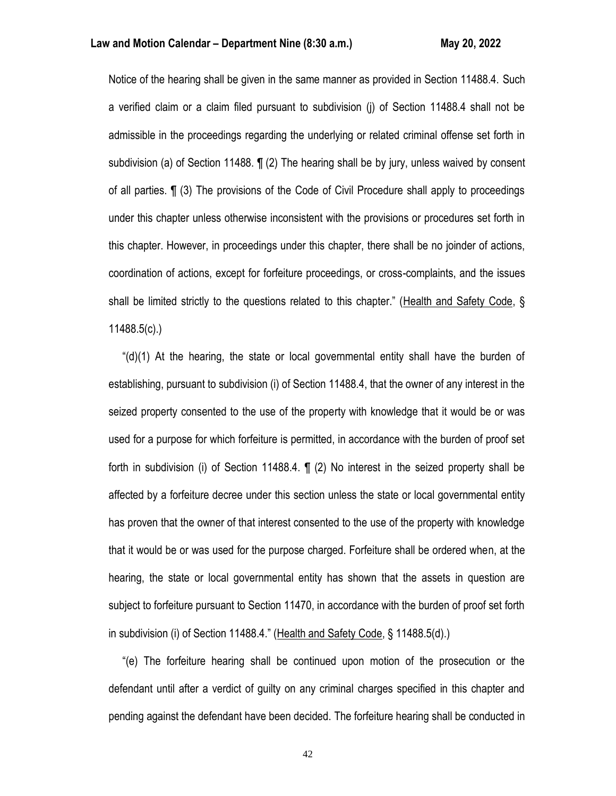Notice of the hearing shall be given in the same manner as provided in Section 11488.4. Such a verified claim or a claim filed pursuant to subdivision (j) of Section 11488.4 shall not be admissible in the proceedings regarding the underlying or related criminal offense set forth in subdivision (a) of Section 11488. ¶ (2) The hearing shall be by jury, unless waived by consent of all parties. ¶ (3) The provisions of the Code of Civil Procedure shall apply to proceedings under this chapter unless otherwise inconsistent with the provisions or procedures set forth in this chapter. However, in proceedings under this chapter, there shall be no joinder of actions, coordination of actions, except for forfeiture proceedings, or cross-complaints, and the issues shall be limited strictly to the questions related to this chapter." (Health and Safety Code, § 11488.5(c).)

 "(d)(1) At the hearing, the state or local governmental entity shall have the burden of establishing, pursuant to subdivision (i) of Section 11488.4, that the owner of any interest in the seized property consented to the use of the property with knowledge that it would be or was used for a purpose for which forfeiture is permitted, in accordance with the burden of proof set forth in subdivision (i) of Section 11488.4. ¶ (2) No interest in the seized property shall be affected by a forfeiture decree under this section unless the state or local governmental entity has proven that the owner of that interest consented to the use of the property with knowledge that it would be or was used for the purpose charged. Forfeiture shall be ordered when, at the hearing, the state or local governmental entity has shown that the assets in question are subject to forfeiture pursuant to Section 11470, in accordance with the burden of proof set forth in subdivision (i) of Section 11488.4." (Health and Safety Code, § 11488.5(d).)

 "(e) The forfeiture hearing shall be continued upon motion of the prosecution or the defendant until after a verdict of guilty on any criminal charges specified in this chapter and pending against the defendant have been decided. The forfeiture hearing shall be conducted in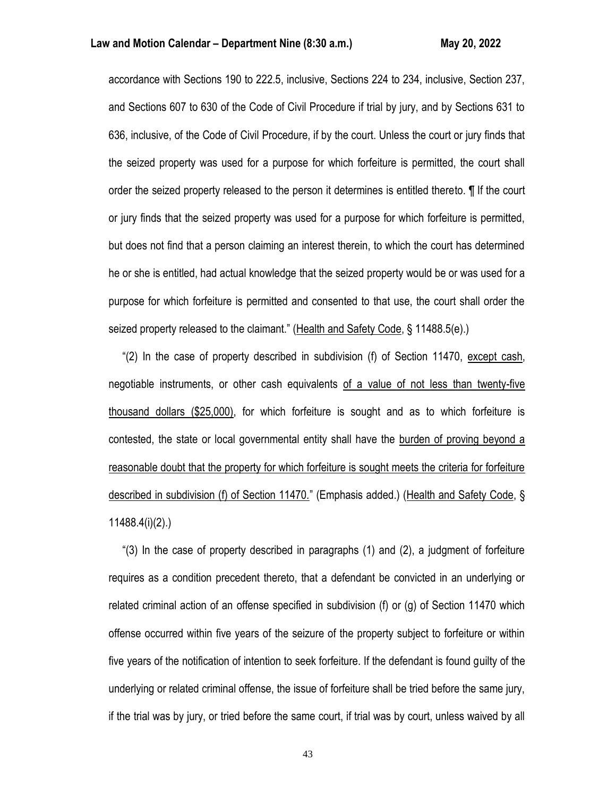### **Law and Motion Calendar – Department Nine (8:30 a.m.) May 20, 2022**

accordance with Sections 190 to 222.5, inclusive, Sections 224 to 234, inclusive, Section 237, and Sections 607 to 630 of the Code of Civil Procedure if trial by jury, and by Sections 631 to 636, inclusive, of the Code of Civil Procedure, if by the court. Unless the court or jury finds that the seized property was used for a purpose for which forfeiture is permitted, the court shall order the seized property released to the person it determines is entitled thereto. ¶ If the court or jury finds that the seized property was used for a purpose for which forfeiture is permitted, but does not find that a person claiming an interest therein, to which the court has determined he or she is entitled, had actual knowledge that the seized property would be or was used for a purpose for which forfeiture is permitted and consented to that use, the court shall order the seized property released to the claimant." (Health and Safety Code, § 11488.5(e).)

 "(2) In the case of property described in subdivision (f) of Section 11470, except cash, negotiable instruments, or other cash equivalents of a value of not less than twenty-five thousand dollars (\$25,000), for which forfeiture is sought and as to which forfeiture is contested, the state or local governmental entity shall have the burden of proving beyond a reasonable doubt that the property for which forfeiture is sought meets the criteria for forfeiture described in subdivision (f) of Section 11470." (Emphasis added.) (Health and Safety Code, § 11488.4(i)(2).)

 "(3) In the case of property described in paragraphs (1) and (2), a judgment of forfeiture requires as a condition precedent thereto, that a defendant be convicted in an underlying or related criminal action of an offense specified in subdivision (f) or (g) of Section 11470 which offense occurred within five years of the seizure of the property subject to forfeiture or within five years of the notification of intention to seek forfeiture. If the defendant is found guilty of the underlying or related criminal offense, the issue of forfeiture shall be tried before the same jury, if the trial was by jury, or tried before the same court, if trial was by court, unless waived by all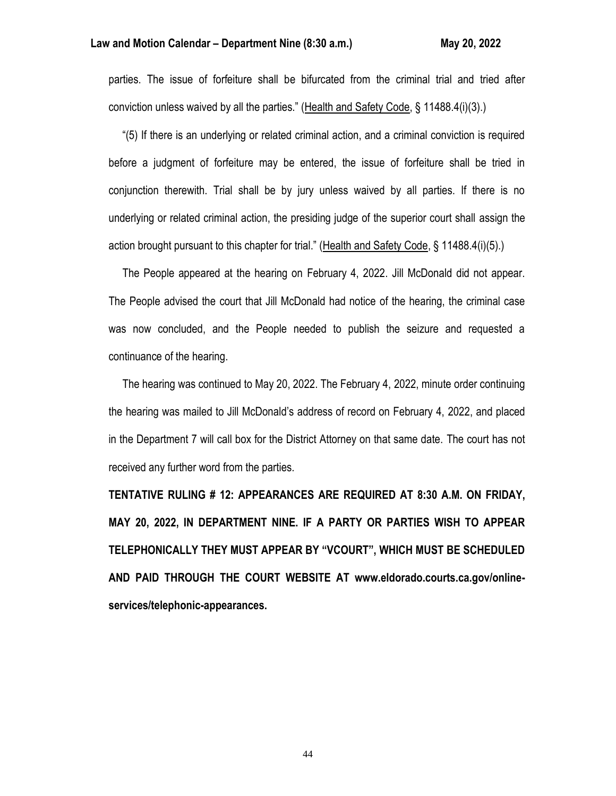### **Law and Motion Calendar – Department Nine (8:30 a.m.) May 20, 2022**

parties. The issue of forfeiture shall be bifurcated from the criminal trial and tried after conviction unless waived by all the parties." (Health and Safety Code, § 11488.4(i)(3).)

 "(5) If there is an underlying or related criminal action, and a criminal conviction is required before a judgment of forfeiture may be entered, the issue of forfeiture shall be tried in conjunction therewith. Trial shall be by jury unless waived by all parties. If there is no underlying or related criminal action, the presiding judge of the superior court shall assign the action brought pursuant to this chapter for trial." (Health and Safety Code, § 11488.4(i)(5).)

 The People appeared at the hearing on February 4, 2022. Jill McDonald did not appear. The People advised the court that Jill McDonald had notice of the hearing, the criminal case was now concluded, and the People needed to publish the seizure and requested a continuance of the hearing.

 The hearing was continued to May 20, 2022. The February 4, 2022, minute order continuing the hearing was mailed to Jill McDonald's address of record on February 4, 2022, and placed in the Department 7 will call box for the District Attorney on that same date. The court has not received any further word from the parties.

**TENTATIVE RULING # 12: APPEARANCES ARE REQUIRED AT 8:30 A.M. ON FRIDAY, MAY 20, 2022, IN DEPARTMENT NINE. IF A PARTY OR PARTIES WISH TO APPEAR TELEPHONICALLY THEY MUST APPEAR BY "VCOURT", WHICH MUST BE SCHEDULED AND PAID THROUGH THE COURT WEBSITE AT www.eldorado.courts.ca.gov/onlineservices/telephonic-appearances.**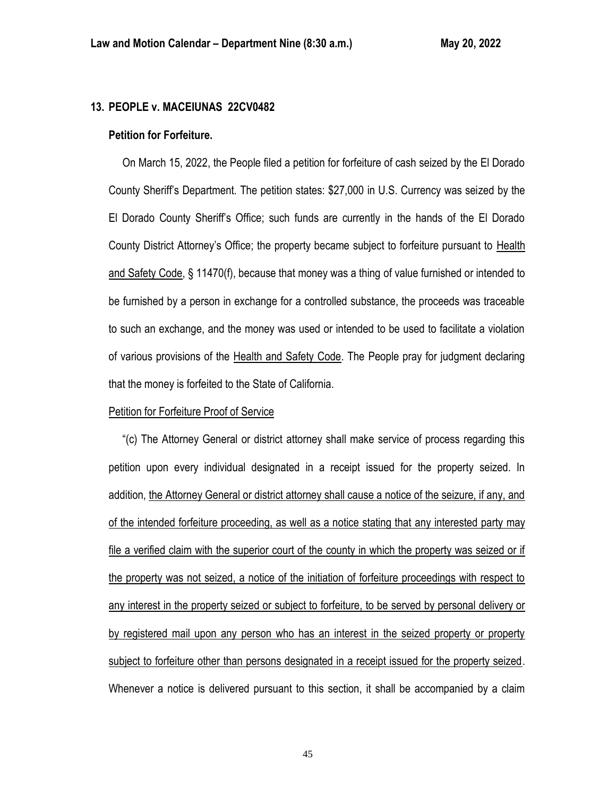# **13. PEOPLE v. MACEIUNAS 22CV0482**

#### **Petition for Forfeiture.**

 On March 15, 2022, the People filed a petition for forfeiture of cash seized by the El Dorado County Sheriff's Department. The petition states: \$27,000 in U.S. Currency was seized by the El Dorado County Sheriff's Office; such funds are currently in the hands of the El Dorado County District Attorney's Office; the property became subject to forfeiture pursuant to Health and Safety Code, § 11470(f), because that money was a thing of value furnished or intended to be furnished by a person in exchange for a controlled substance, the proceeds was traceable to such an exchange, and the money was used or intended to be used to facilitate a violation of various provisions of the Health and Safety Code. The People pray for judgment declaring that the money is forfeited to the State of California.

### Petition for Forfeiture Proof of Service

 "(c) The Attorney General or district attorney shall make service of process regarding this petition upon every individual designated in a receipt issued for the property seized. In addition, the Attorney General or district attorney shall cause a notice of the seizure, if any, and of the intended forfeiture proceeding, as well as a notice stating that any interested party may file a verified claim with the superior court of the county in which the property was seized or if the property was not seized, a notice of the initiation of forfeiture proceedings with respect to any interest in the property seized or subject to forfeiture, to be served by personal delivery or by registered mail upon any person who has an interest in the seized property or property subject to forfeiture other than persons designated in a receipt issued for the property seized. Whenever a notice is delivered pursuant to this section, it shall be accompanied by a claim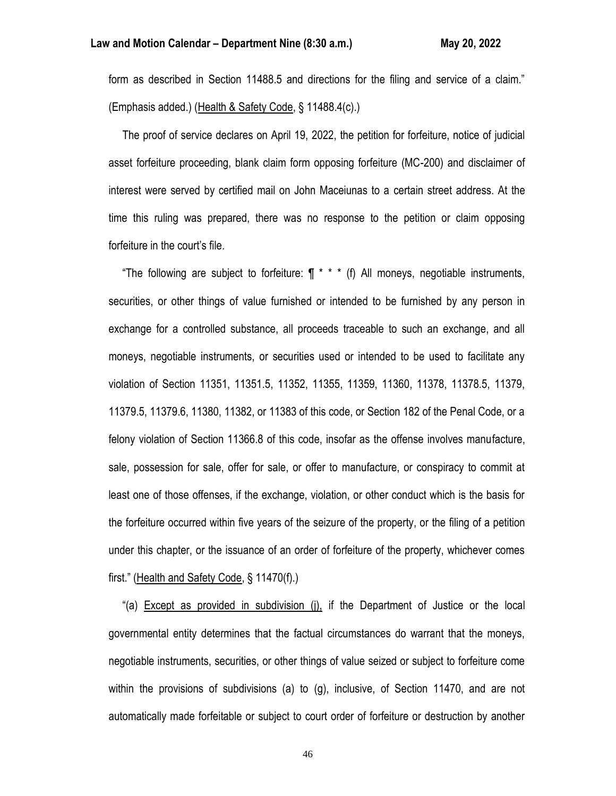form as described in Section 11488.5 and directions for the filing and service of a claim." (Emphasis added.) (Health & Safety Code, § 11488.4(c).)

 The proof of service declares on April 19, 2022, the petition for forfeiture, notice of judicial asset forfeiture proceeding, blank claim form opposing forfeiture (MC-200) and disclaimer of interest were served by certified mail on John Maceiunas to a certain street address. At the time this ruling was prepared, there was no response to the petition or claim opposing forfeiture in the court's file.

"The following are subject to forfeiture:  $\P$  \* \* \* (f) All moneys, negotiable instruments, securities, or other things of value furnished or intended to be furnished by any person in exchange for a controlled substance, all proceeds traceable to such an exchange, and all moneys, negotiable instruments, or securities used or intended to be used to facilitate any violation of Section 11351, 11351.5, 11352, 11355, 11359, 11360, 11378, 11378.5, 11379, 11379.5, 11379.6, 11380, 11382, or 11383 of this code, or Section 182 of the Penal Code, or a felony violation of Section 11366.8 of this code, insofar as the offense involves manufacture, sale, possession for sale, offer for sale, or offer to manufacture, or conspiracy to commit at least one of those offenses, if the exchange, violation, or other conduct which is the basis for the forfeiture occurred within five years of the seizure of the property, or the filing of a petition under this chapter, or the issuance of an order of forfeiture of the property, whichever comes first." (Health and Safety Code, § 11470(f).)

 "(a) Except as provided in subdivision (j), if the Department of Justice or the local governmental entity determines that the factual circumstances do warrant that the moneys, negotiable instruments, securities, or other things of value seized or subject to forfeiture come within the provisions of subdivisions (a) to (g), inclusive, of Section 11470, and are not automatically made forfeitable or subject to court order of forfeiture or destruction by another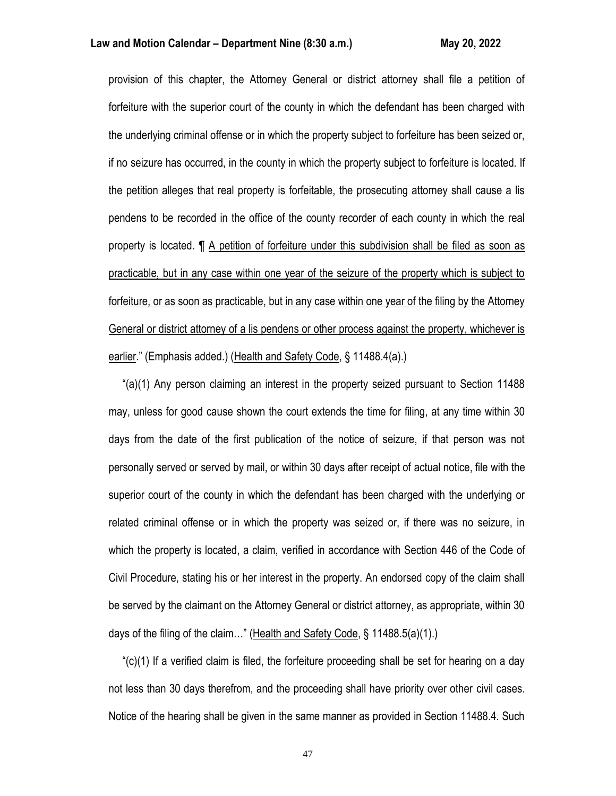### **Law and Motion Calendar – Department Nine (8:30 a.m.) May 20, 2022**

provision of this chapter, the Attorney General or district attorney shall file a petition of forfeiture with the superior court of the county in which the defendant has been charged with the underlying criminal offense or in which the property subject to forfeiture has been seized or, if no seizure has occurred, in the county in which the property subject to forfeiture is located. If the petition alleges that real property is forfeitable, the prosecuting attorney shall cause a lis pendens to be recorded in the office of the county recorder of each county in which the real property is located. ¶ A petition of forfeiture under this subdivision shall be filed as soon as practicable, but in any case within one year of the seizure of the property which is subject to forfeiture, or as soon as practicable, but in any case within one year of the filing by the Attorney General or district attorney of a lis pendens or other process against the property, whichever is earlier." (Emphasis added.) (Health and Safety Code, § 11488.4(a).)

 "(a)(1) Any person claiming an interest in the property seized pursuant to Section 11488 may, unless for good cause shown the court extends the time for filing, at any time within 30 days from the date of the first publication of the notice of seizure, if that person was not personally served or served by mail, or within 30 days after receipt of actual notice, file with the superior court of the county in which the defendant has been charged with the underlying or related criminal offense or in which the property was seized or, if there was no seizure, in which the property is located, a claim, verified in accordance with Section 446 of the Code of Civil Procedure, stating his or her interest in the property. An endorsed copy of the claim shall be served by the claimant on the Attorney General or district attorney, as appropriate, within 30 days of the filing of the claim…" (Health and Safety Code, § 11488.5(a)(1).)

 "(c)(1) If a verified claim is filed, the forfeiture proceeding shall be set for hearing on a day not less than 30 days therefrom, and the proceeding shall have priority over other civil cases. Notice of the hearing shall be given in the same manner as provided in Section 11488.4. Such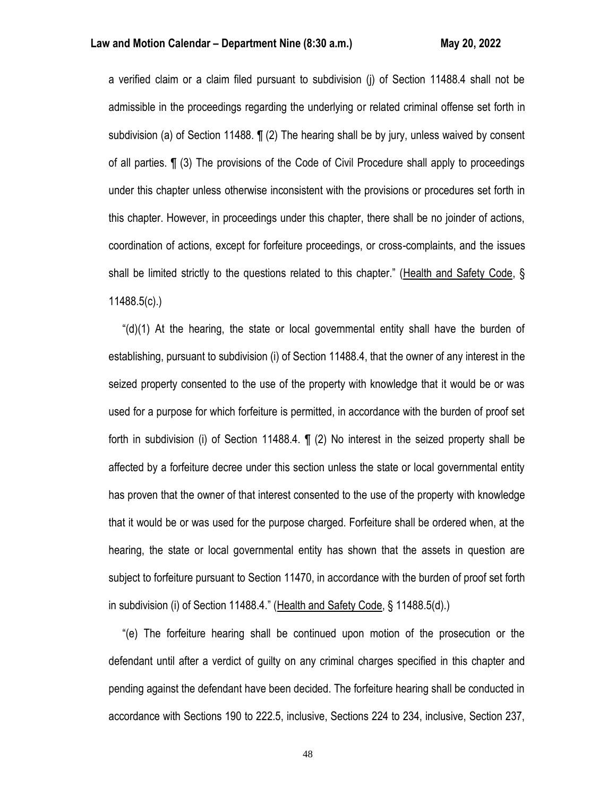a verified claim or a claim filed pursuant to subdivision (j) of Section 11488.4 shall not be admissible in the proceedings regarding the underlying or related criminal offense set forth in subdivision (a) of Section 11488. **[1** (2) The hearing shall be by jury, unless waived by consent of all parties. ¶ (3) The provisions of the Code of Civil Procedure shall apply to proceedings under this chapter unless otherwise inconsistent with the provisions or procedures set forth in this chapter. However, in proceedings under this chapter, there shall be no joinder of actions, coordination of actions, except for forfeiture proceedings, or cross-complaints, and the issues shall be limited strictly to the questions related to this chapter." (Health and Safety Code, § 11488.5(c).)

" $(d)(1)$  At the hearing, the state or local governmental entity shall have the burden of establishing, pursuant to subdivision (i) of Section 11488.4, that the owner of any interest in the seized property consented to the use of the property with knowledge that it would be or was used for a purpose for which forfeiture is permitted, in accordance with the burden of proof set forth in subdivision (i) of Section 11488.4. ¶ (2) No interest in the seized property shall be affected by a forfeiture decree under this section unless the state or local governmental entity has proven that the owner of that interest consented to the use of the property with knowledge that it would be or was used for the purpose charged. Forfeiture shall be ordered when, at the hearing, the state or local governmental entity has shown that the assets in question are subject to forfeiture pursuant to Section 11470, in accordance with the burden of proof set forth in subdivision (i) of Section 11488.4." (Health and Safety Code, § 11488.5(d).)

 "(e) The forfeiture hearing shall be continued upon motion of the prosecution or the defendant until after a verdict of guilty on any criminal charges specified in this chapter and pending against the defendant have been decided. The forfeiture hearing shall be conducted in accordance with Sections 190 to 222.5, inclusive, Sections 224 to 234, inclusive, Section 237,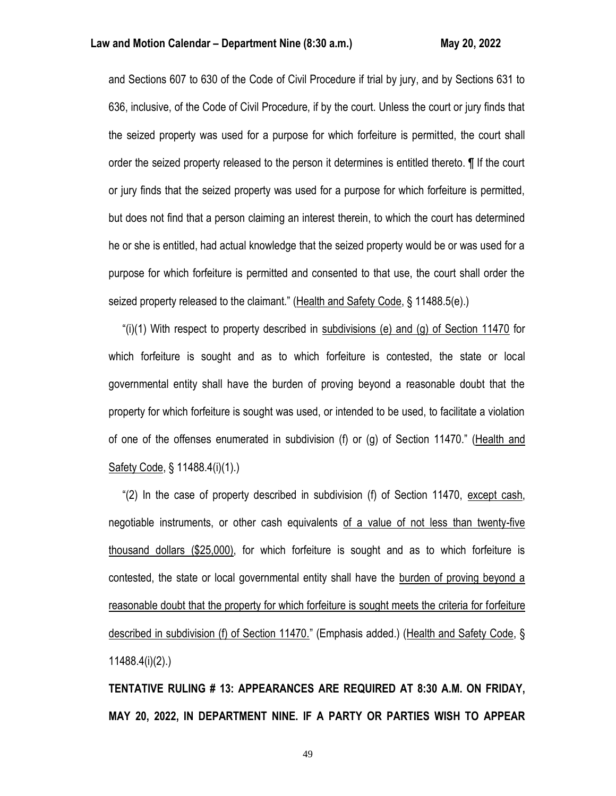and Sections 607 to 630 of the Code of Civil Procedure if trial by jury, and by Sections 631 to 636, inclusive, of the Code of Civil Procedure, if by the court. Unless the court or jury finds that the seized property was used for a purpose for which forfeiture is permitted, the court shall order the seized property released to the person it determines is entitled thereto. ¶ If the court or jury finds that the seized property was used for a purpose for which forfeiture is permitted, but does not find that a person claiming an interest therein, to which the court has determined he or she is entitled, had actual knowledge that the seized property would be or was used for a purpose for which forfeiture is permitted and consented to that use, the court shall order the seized property released to the claimant." (Health and Safety Code, § 11488.5(e).)

"(i)(1) With respect to property described in subdivisions (e) and (g) of Section 11470 for which forfeiture is sought and as to which forfeiture is contested, the state or local governmental entity shall have the burden of proving beyond a reasonable doubt that the property for which forfeiture is sought was used, or intended to be used, to facilitate a violation of one of the offenses enumerated in subdivision (f) or (g) of Section 11470." (Health and Safety Code, § 11488.4(i)(1).)

 "(2) In the case of property described in subdivision (f) of Section 11470, except cash, negotiable instruments, or other cash equivalents of a value of not less than twenty-five thousand dollars (\$25,000), for which forfeiture is sought and as to which forfeiture is contested, the state or local governmental entity shall have the burden of proving beyond a reasonable doubt that the property for which forfeiture is sought meets the criteria for forfeiture described in subdivision (f) of Section 11470." (Emphasis added.) (Health and Safety Code, § 11488.4(i)(2).)

**TENTATIVE RULING # 13: APPEARANCES ARE REQUIRED AT 8:30 A.M. ON FRIDAY, MAY 20, 2022, IN DEPARTMENT NINE. IF A PARTY OR PARTIES WISH TO APPEAR**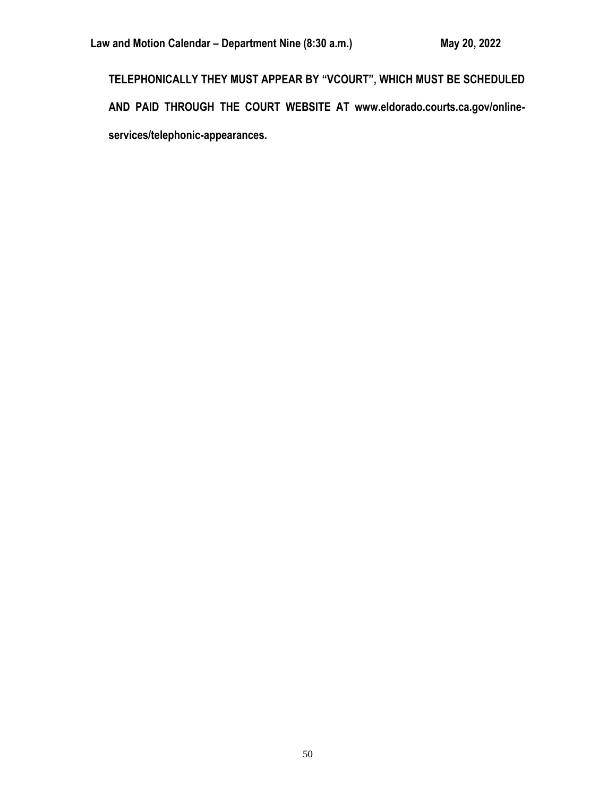**TELEPHONICALLY THEY MUST APPEAR BY "VCOURT", WHICH MUST BE SCHEDULED AND PAID THROUGH THE COURT WEBSITE AT www.eldorado.courts.ca.gov/onlineservices/telephonic-appearances.**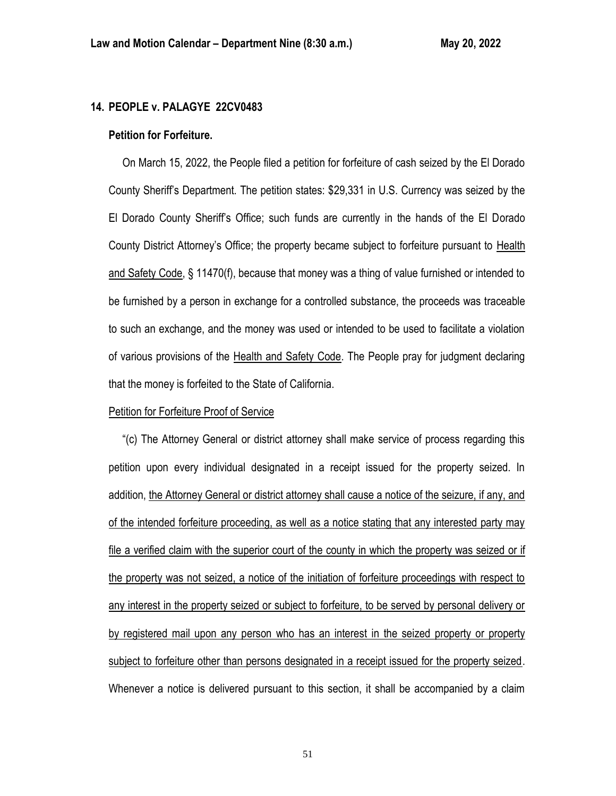# **14. PEOPLE v. PALAGYE 22CV0483**

#### **Petition for Forfeiture.**

 On March 15, 2022, the People filed a petition for forfeiture of cash seized by the El Dorado County Sheriff's Department. The petition states: \$29,331 in U.S. Currency was seized by the El Dorado County Sheriff's Office; such funds are currently in the hands of the El Dorado County District Attorney's Office; the property became subject to forfeiture pursuant to Health and Safety Code, § 11470(f), because that money was a thing of value furnished or intended to be furnished by a person in exchange for a controlled substance, the proceeds was traceable to such an exchange, and the money was used or intended to be used to facilitate a violation of various provisions of the Health and Safety Code. The People pray for judgment declaring that the money is forfeited to the State of California.

### Petition for Forfeiture Proof of Service

 "(c) The Attorney General or district attorney shall make service of process regarding this petition upon every individual designated in a receipt issued for the property seized. In addition, the Attorney General or district attorney shall cause a notice of the seizure, if any, and of the intended forfeiture proceeding, as well as a notice stating that any interested party may file a verified claim with the superior court of the county in which the property was seized or if the property was not seized, a notice of the initiation of forfeiture proceedings with respect to any interest in the property seized or subject to forfeiture, to be served by personal delivery or by registered mail upon any person who has an interest in the seized property or property subject to forfeiture other than persons designated in a receipt issued for the property seized. Whenever a notice is delivered pursuant to this section, it shall be accompanied by a claim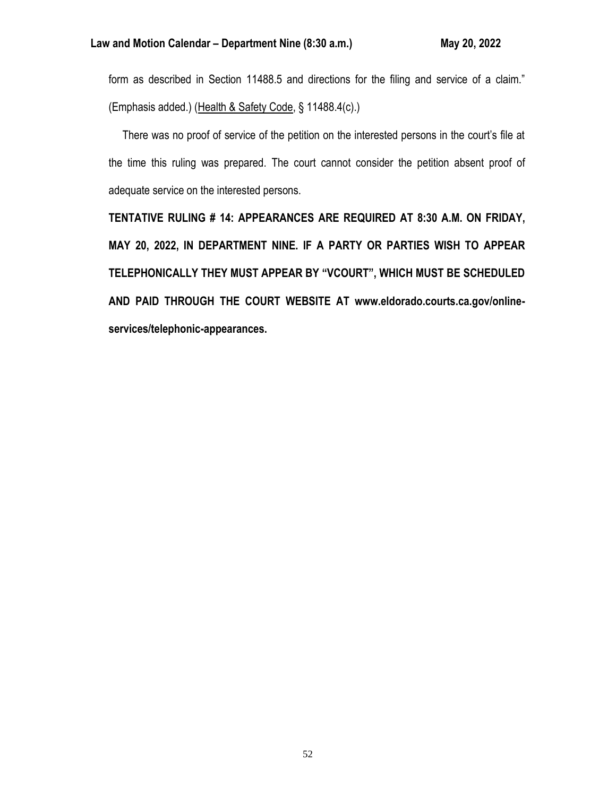form as described in Section 11488.5 and directions for the filing and service of a claim." (Emphasis added.) (Health & Safety Code, § 11488.4(c).)

 There was no proof of service of the petition on the interested persons in the court's file at the time this ruling was prepared. The court cannot consider the petition absent proof of adequate service on the interested persons.

**TENTATIVE RULING # 14: APPEARANCES ARE REQUIRED AT 8:30 A.M. ON FRIDAY, MAY 20, 2022, IN DEPARTMENT NINE. IF A PARTY OR PARTIES WISH TO APPEAR TELEPHONICALLY THEY MUST APPEAR BY "VCOURT", WHICH MUST BE SCHEDULED AND PAID THROUGH THE COURT WEBSITE AT www.eldorado.courts.ca.gov/onlineservices/telephonic-appearances.**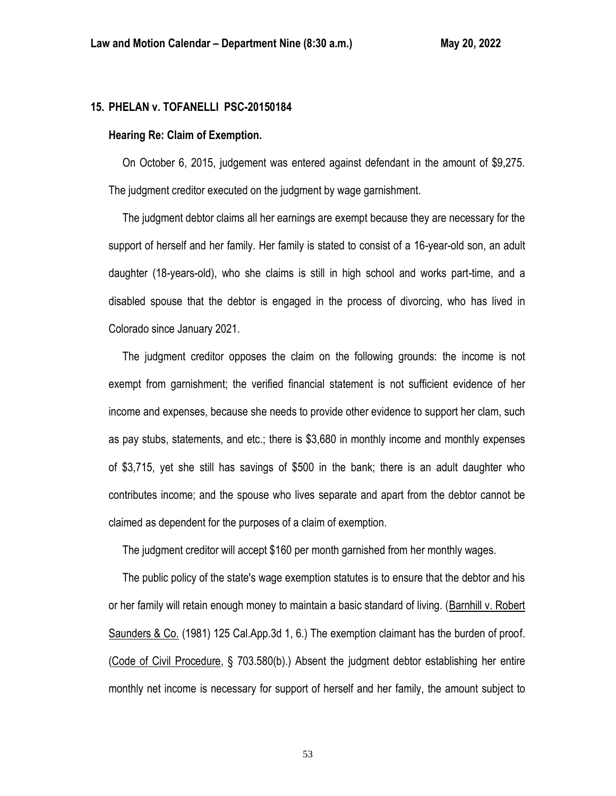### **15. PHELAN v. TOFANELLI PSC-20150184**

### **Hearing Re: Claim of Exemption.**

 On October 6, 2015, judgement was entered against defendant in the amount of \$9,275. The judgment creditor executed on the judgment by wage garnishment.

 The judgment debtor claims all her earnings are exempt because they are necessary for the support of herself and her family. Her family is stated to consist of a 16-year-old son, an adult daughter (18-years-old), who she claims is still in high school and works part-time, and a disabled spouse that the debtor is engaged in the process of divorcing, who has lived in Colorado since January 2021.

 The judgment creditor opposes the claim on the following grounds: the income is not exempt from garnishment; the verified financial statement is not sufficient evidence of her income and expenses, because she needs to provide other evidence to support her clam, such as pay stubs, statements, and etc.; there is \$3,680 in monthly income and monthly expenses of \$3,715, yet she still has savings of \$500 in the bank; there is an adult daughter who contributes income; and the spouse who lives separate and apart from the debtor cannot be claimed as dependent for the purposes of a claim of exemption.

The judgment creditor will accept \$160 per month garnished from her monthly wages.

 The public policy of the state's wage exemption statutes is to ensure that the debtor and his or her family will retain enough money to maintain a basic standard of living. (Barnhill v. Robert Saunders & Co. (1981) 125 Cal.App.3d 1, 6.) The exemption claimant has the burden of proof. (Code of Civil Procedure, § 703.580(b).) Absent the judgment debtor establishing her entire monthly net income is necessary for support of herself and her family, the amount subject to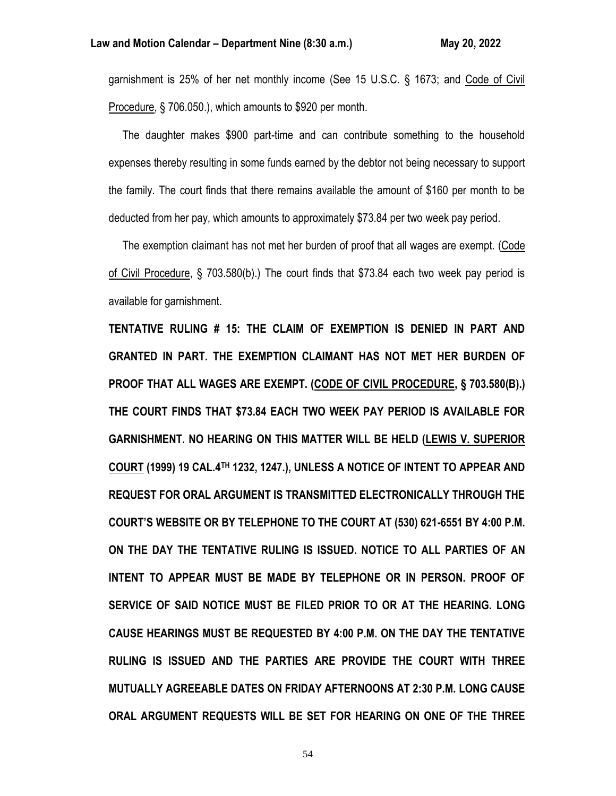garnishment is 25% of her net monthly income (See 15 U.S.C. § 1673; and Code of Civil Procedure, § 706.050.), which amounts to \$920 per month.

 The daughter makes \$900 part-time and can contribute something to the household expenses thereby resulting in some funds earned by the debtor not being necessary to support the family. The court finds that there remains available the amount of \$160 per month to be deducted from her pay, which amounts to approximately \$73.84 per two week pay period.

 The exemption claimant has not met her burden of proof that all wages are exempt. (Code of Civil Procedure, § 703.580(b).) The court finds that \$73.84 each two week pay period is available for garnishment.

**TENTATIVE RULING # 15: THE CLAIM OF EXEMPTION IS DENIED IN PART AND GRANTED IN PART. THE EXEMPTION CLAIMANT HAS NOT MET HER BURDEN OF PROOF THAT ALL WAGES ARE EXEMPT. (CODE OF CIVIL PROCEDURE, § 703.580(B).) THE COURT FINDS THAT \$73.84 EACH TWO WEEK PAY PERIOD IS AVAILABLE FOR GARNISHMENT. NO HEARING ON THIS MATTER WILL BE HELD (LEWIS V. SUPERIOR COURT (1999) 19 CAL.4TH 1232, 1247.), UNLESS A NOTICE OF INTENT TO APPEAR AND REQUEST FOR ORAL ARGUMENT IS TRANSMITTED ELECTRONICALLY THROUGH THE COURT'S WEBSITE OR BY TELEPHONE TO THE COURT AT (530) 621-6551 BY 4:00 P.M. ON THE DAY THE TENTATIVE RULING IS ISSUED. NOTICE TO ALL PARTIES OF AN INTENT TO APPEAR MUST BE MADE BY TELEPHONE OR IN PERSON. PROOF OF SERVICE OF SAID NOTICE MUST BE FILED PRIOR TO OR AT THE HEARING. LONG CAUSE HEARINGS MUST BE REQUESTED BY 4:00 P.M. ON THE DAY THE TENTATIVE RULING IS ISSUED AND THE PARTIES ARE PROVIDE THE COURT WITH THREE MUTUALLY AGREEABLE DATES ON FRIDAY AFTERNOONS AT 2:30 P.M. LONG CAUSE ORAL ARGUMENT REQUESTS WILL BE SET FOR HEARING ON ONE OF THE THREE**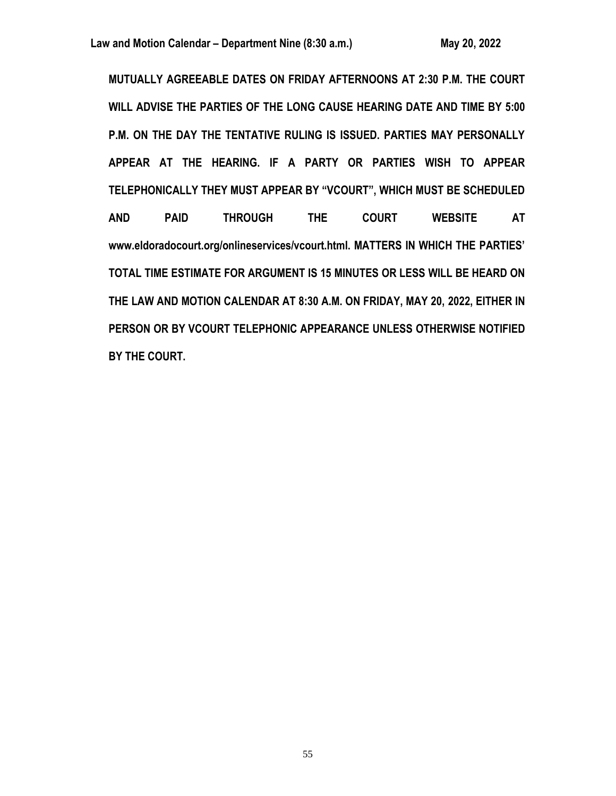**MUTUALLY AGREEABLE DATES ON FRIDAY AFTERNOONS AT 2:30 P.M. THE COURT WILL ADVISE THE PARTIES OF THE LONG CAUSE HEARING DATE AND TIME BY 5:00 P.M. ON THE DAY THE TENTATIVE RULING IS ISSUED. PARTIES MAY PERSONALLY APPEAR AT THE HEARING. IF A PARTY OR PARTIES WISH TO APPEAR TELEPHONICALLY THEY MUST APPEAR BY "VCOURT", WHICH MUST BE SCHEDULED AND PAID THROUGH THE COURT WEBSITE AT www.eldoradocourt.org/onlineservices/vcourt.html. MATTERS IN WHICH THE PARTIES' TOTAL TIME ESTIMATE FOR ARGUMENT IS 15 MINUTES OR LESS WILL BE HEARD ON THE LAW AND MOTION CALENDAR AT 8:30 A.M. ON FRIDAY, MAY 20, 2022, EITHER IN PERSON OR BY VCOURT TELEPHONIC APPEARANCE UNLESS OTHERWISE NOTIFIED BY THE COURT.**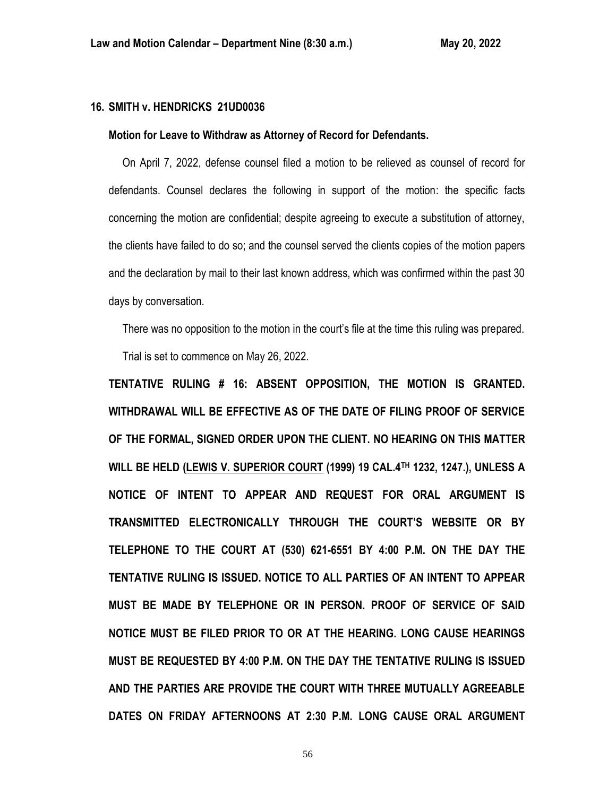# **16. SMITH v. HENDRICKS 21UD0036**

#### **Motion for Leave to Withdraw as Attorney of Record for Defendants.**

 On April 7, 2022, defense counsel filed a motion to be relieved as counsel of record for defendants. Counsel declares the following in support of the motion: the specific facts concerning the motion are confidential; despite agreeing to execute a substitution of attorney, the clients have failed to do so; and the counsel served the clients copies of the motion papers and the declaration by mail to their last known address, which was confirmed within the past 30 days by conversation.

 There was no opposition to the motion in the court's file at the time this ruling was prepared. Trial is set to commence on May 26, 2022.

**TENTATIVE RULING # 16: ABSENT OPPOSITION, THE MOTION IS GRANTED. WITHDRAWAL WILL BE EFFECTIVE AS OF THE DATE OF FILING PROOF OF SERVICE OF THE FORMAL, SIGNED ORDER UPON THE CLIENT. NO HEARING ON THIS MATTER WILL BE HELD (LEWIS V. SUPERIOR COURT (1999) 19 CAL.4TH 1232, 1247.), UNLESS A NOTICE OF INTENT TO APPEAR AND REQUEST FOR ORAL ARGUMENT IS TRANSMITTED ELECTRONICALLY THROUGH THE COURT'S WEBSITE OR BY TELEPHONE TO THE COURT AT (530) 621-6551 BY 4:00 P.M. ON THE DAY THE TENTATIVE RULING IS ISSUED. NOTICE TO ALL PARTIES OF AN INTENT TO APPEAR MUST BE MADE BY TELEPHONE OR IN PERSON. PROOF OF SERVICE OF SAID NOTICE MUST BE FILED PRIOR TO OR AT THE HEARING. LONG CAUSE HEARINGS MUST BE REQUESTED BY 4:00 P.M. ON THE DAY THE TENTATIVE RULING IS ISSUED AND THE PARTIES ARE PROVIDE THE COURT WITH THREE MUTUALLY AGREEABLE DATES ON FRIDAY AFTERNOONS AT 2:30 P.M. LONG CAUSE ORAL ARGUMENT**